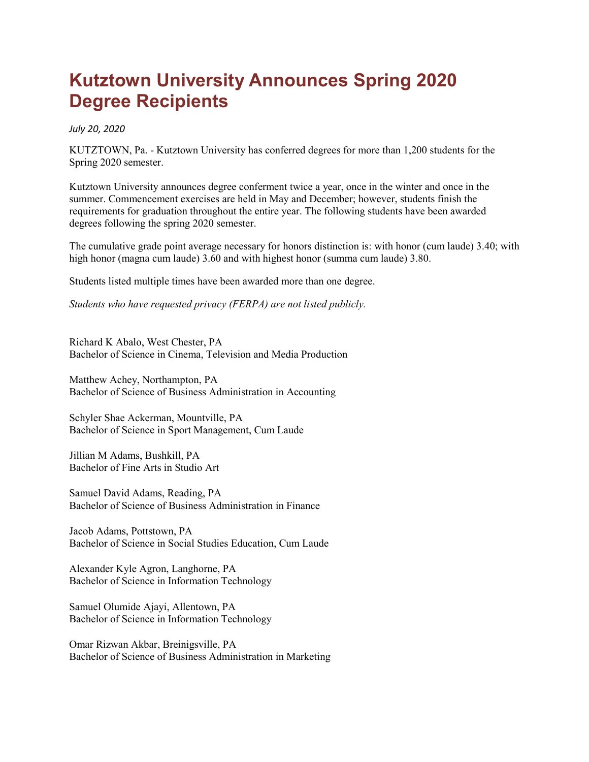## **Kutztown University Announces Spring 2020 Degree Recipients**

*July 20, 2020*

KUTZTOWN, Pa. - Kutztown University has conferred degrees for more than 1,200 students for the Spring 2020 semester.

Kutztown University announces degree conferment twice a year, once in the winter and once in the summer. Commencement exercises are held in May and December; however, students finish the requirements for graduation throughout the entire year. The following students have been awarded degrees following the spring 2020 semester.

The cumulative grade point average necessary for honors distinction is: with honor (cum laude) 3.40; with high honor (magna cum laude) 3.60 and with highest honor (summa cum laude) 3.80.

Students listed multiple times have been awarded more than one degree.

*Students who have requested privacy (FERPA) are not listed publicly.*

Richard K Abalo, West Chester, PA Bachelor of Science in Cinema, Television and Media Production

Matthew Achey, Northampton, PA Bachelor of Science of Business Administration in Accounting

Schyler Shae Ackerman, Mountville, PA Bachelor of Science in Sport Management, Cum Laude

Jillian M Adams, Bushkill, PA Bachelor of Fine Arts in Studio Art

Samuel David Adams, Reading, PA Bachelor of Science of Business Administration in Finance

Jacob Adams, Pottstown, PA Bachelor of Science in Social Studies Education, Cum Laude

Alexander Kyle Agron, Langhorne, PA Bachelor of Science in Information Technology

Samuel Olumide Ajayi, Allentown, PA Bachelor of Science in Information Technology

Omar Rizwan Akbar, Breinigsville, PA Bachelor of Science of Business Administration in Marketing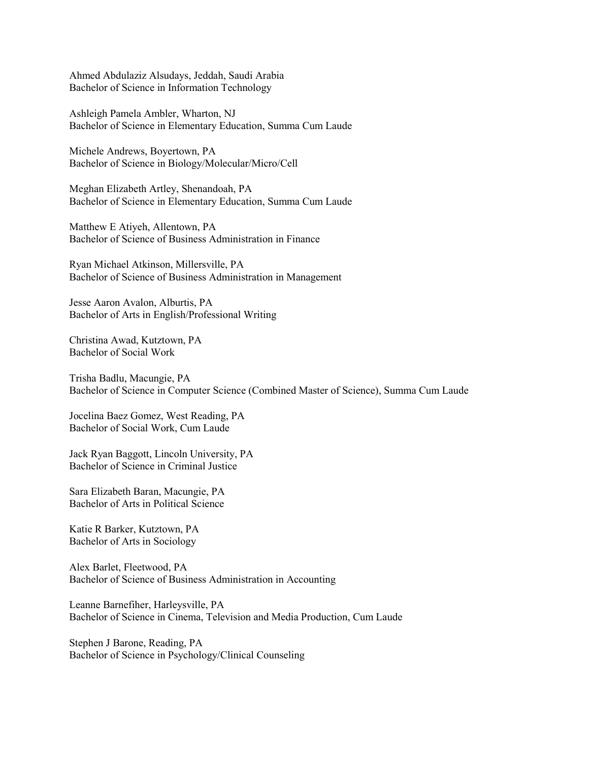Ahmed Abdulaziz Alsudays, Jeddah, Saudi Arabia Bachelor of Science in Information Technology

Ashleigh Pamela Ambler, Wharton, NJ Bachelor of Science in Elementary Education, Summa Cum Laude

Michele Andrews, Boyertown, PA Bachelor of Science in Biology/Molecular/Micro/Cell

Meghan Elizabeth Artley, Shenandoah, PA Bachelor of Science in Elementary Education, Summa Cum Laude

Matthew E Atiyeh, Allentown, PA Bachelor of Science of Business Administration in Finance

Ryan Michael Atkinson, Millersville, PA Bachelor of Science of Business Administration in Management

Jesse Aaron Avalon, Alburtis, PA Bachelor of Arts in English/Professional Writing

Christina Awad, Kutztown, PA Bachelor of Social Work

Trisha Badlu, Macungie, PA Bachelor of Science in Computer Science (Combined Master of Science), Summa Cum Laude

Jocelina Baez Gomez, West Reading, PA Bachelor of Social Work, Cum Laude

Jack Ryan Baggott, Lincoln University, PA Bachelor of Science in Criminal Justice

Sara Elizabeth Baran, Macungie, PA Bachelor of Arts in Political Science

Katie R Barker, Kutztown, PA Bachelor of Arts in Sociology

Alex Barlet, Fleetwood, PA Bachelor of Science of Business Administration in Accounting

Leanne Barnefiher, Harleysville, PA Bachelor of Science in Cinema, Television and Media Production, Cum Laude

Stephen J Barone, Reading, PA Bachelor of Science in Psychology/Clinical Counseling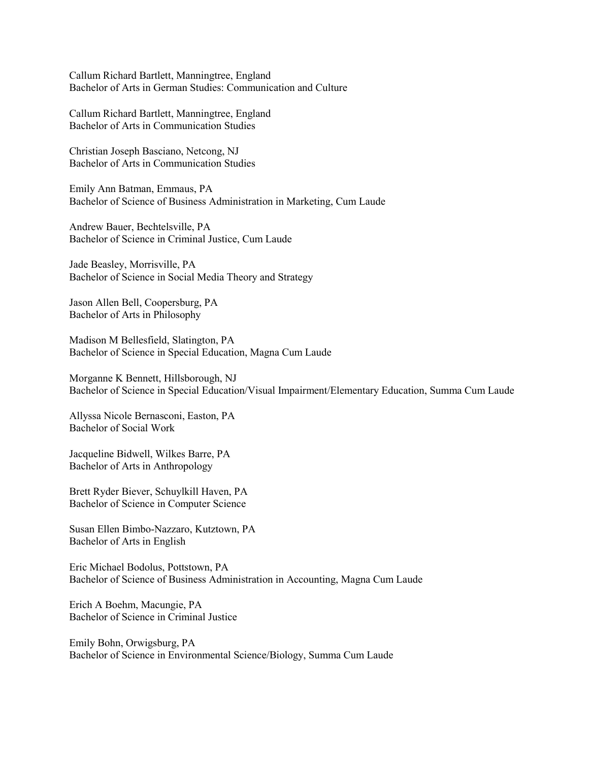Callum Richard Bartlett, Manningtree, England Bachelor of Arts in German Studies: Communication and Culture

Callum Richard Bartlett, Manningtree, England Bachelor of Arts in Communication Studies

Christian Joseph Basciano, Netcong, NJ Bachelor of Arts in Communication Studies

Emily Ann Batman, Emmaus, PA Bachelor of Science of Business Administration in Marketing, Cum Laude

Andrew Bauer, Bechtelsville, PA Bachelor of Science in Criminal Justice, Cum Laude

Jade Beasley, Morrisville, PA Bachelor of Science in Social Media Theory and Strategy

Jason Allen Bell, Coopersburg, PA Bachelor of Arts in Philosophy

Madison M Bellesfield, Slatington, PA Bachelor of Science in Special Education, Magna Cum Laude

Morganne K Bennett, Hillsborough, NJ Bachelor of Science in Special Education/Visual Impairment/Elementary Education, Summa Cum Laude

Allyssa Nicole Bernasconi, Easton, PA Bachelor of Social Work

Jacqueline Bidwell, Wilkes Barre, PA Bachelor of Arts in Anthropology

Brett Ryder Biever, Schuylkill Haven, PA Bachelor of Science in Computer Science

Susan Ellen Bimbo-Nazzaro, Kutztown, PA Bachelor of Arts in English

Eric Michael Bodolus, Pottstown, PA Bachelor of Science of Business Administration in Accounting, Magna Cum Laude

Erich A Boehm, Macungie, PA Bachelor of Science in Criminal Justice

Emily Bohn, Orwigsburg, PA Bachelor of Science in Environmental Science/Biology, Summa Cum Laude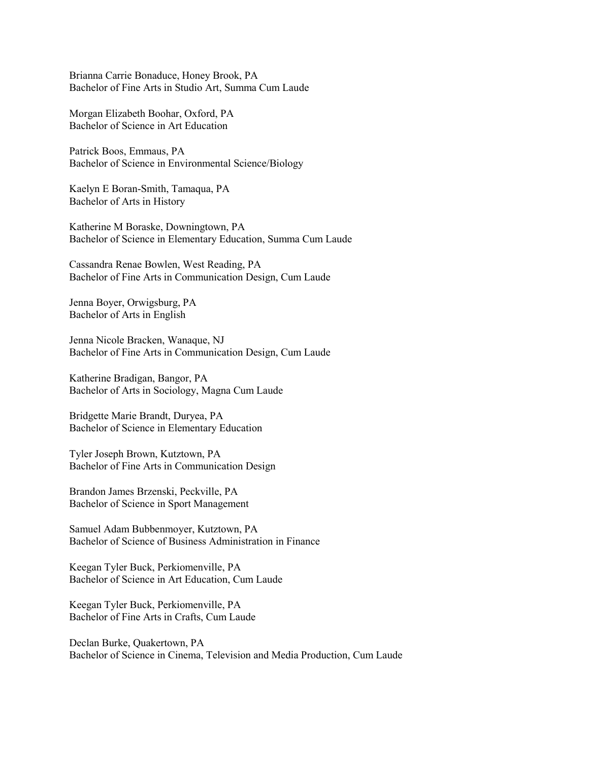Brianna Carrie Bonaduce, Honey Brook, PA Bachelor of Fine Arts in Studio Art, Summa Cum Laude

Morgan Elizabeth Boohar, Oxford, PA Bachelor of Science in Art Education

Patrick Boos, Emmaus, PA Bachelor of Science in Environmental Science/Biology

Kaelyn E Boran-Smith, Tamaqua, PA Bachelor of Arts in History

Katherine M Boraske, Downingtown, PA Bachelor of Science in Elementary Education, Summa Cum Laude

Cassandra Renae Bowlen, West Reading, PA Bachelor of Fine Arts in Communication Design, Cum Laude

Jenna Boyer, Orwigsburg, PA Bachelor of Arts in English

Jenna Nicole Bracken, Wanaque, NJ Bachelor of Fine Arts in Communication Design, Cum Laude

Katherine Bradigan, Bangor, PA Bachelor of Arts in Sociology, Magna Cum Laude

Bridgette Marie Brandt, Duryea, PA Bachelor of Science in Elementary Education

Tyler Joseph Brown, Kutztown, PA Bachelor of Fine Arts in Communication Design

Brandon James Brzenski, Peckville, PA Bachelor of Science in Sport Management

Samuel Adam Bubbenmoyer, Kutztown, PA Bachelor of Science of Business Administration in Finance

Keegan Tyler Buck, Perkiomenville, PA Bachelor of Science in Art Education, Cum Laude

Keegan Tyler Buck, Perkiomenville, PA Bachelor of Fine Arts in Crafts, Cum Laude

Declan Burke, Quakertown, PA Bachelor of Science in Cinema, Television and Media Production, Cum Laude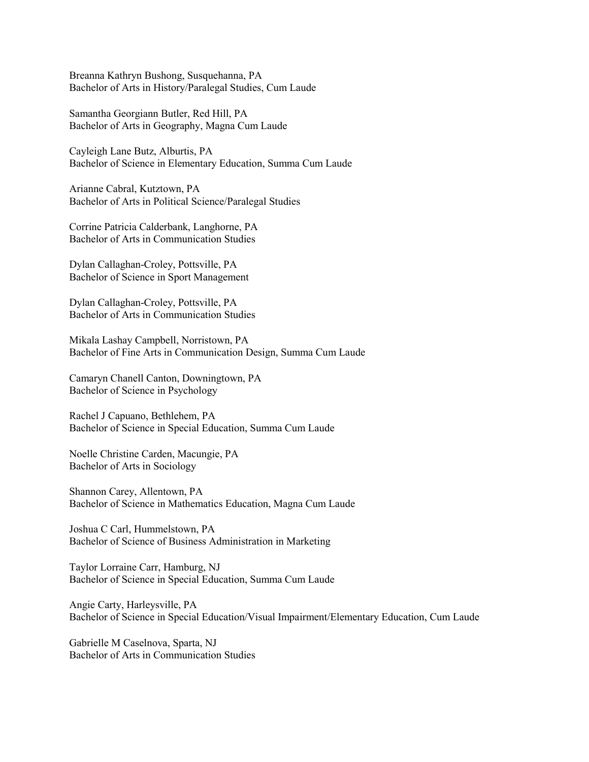Breanna Kathryn Bushong, Susquehanna, PA Bachelor of Arts in History/Paralegal Studies, Cum Laude

Samantha Georgiann Butler, Red Hill, PA Bachelor of Arts in Geography, Magna Cum Laude

Cayleigh Lane Butz, Alburtis, PA Bachelor of Science in Elementary Education, Summa Cum Laude

Arianne Cabral, Kutztown, PA Bachelor of Arts in Political Science/Paralegal Studies

Corrine Patricia Calderbank, Langhorne, PA Bachelor of Arts in Communication Studies

Dylan Callaghan-Croley, Pottsville, PA Bachelor of Science in Sport Management

Dylan Callaghan-Croley, Pottsville, PA Bachelor of Arts in Communication Studies

Mikala Lashay Campbell, Norristown, PA Bachelor of Fine Arts in Communication Design, Summa Cum Laude

Camaryn Chanell Canton, Downingtown, PA Bachelor of Science in Psychology

Rachel J Capuano, Bethlehem, PA Bachelor of Science in Special Education, Summa Cum Laude

Noelle Christine Carden, Macungie, PA Bachelor of Arts in Sociology

Shannon Carey, Allentown, PA Bachelor of Science in Mathematics Education, Magna Cum Laude

Joshua C Carl, Hummelstown, PA Bachelor of Science of Business Administration in Marketing

Taylor Lorraine Carr, Hamburg, NJ Bachelor of Science in Special Education, Summa Cum Laude

Angie Carty, Harleysville, PA Bachelor of Science in Special Education/Visual Impairment/Elementary Education, Cum Laude

Gabrielle M Caselnova, Sparta, NJ Bachelor of Arts in Communication Studies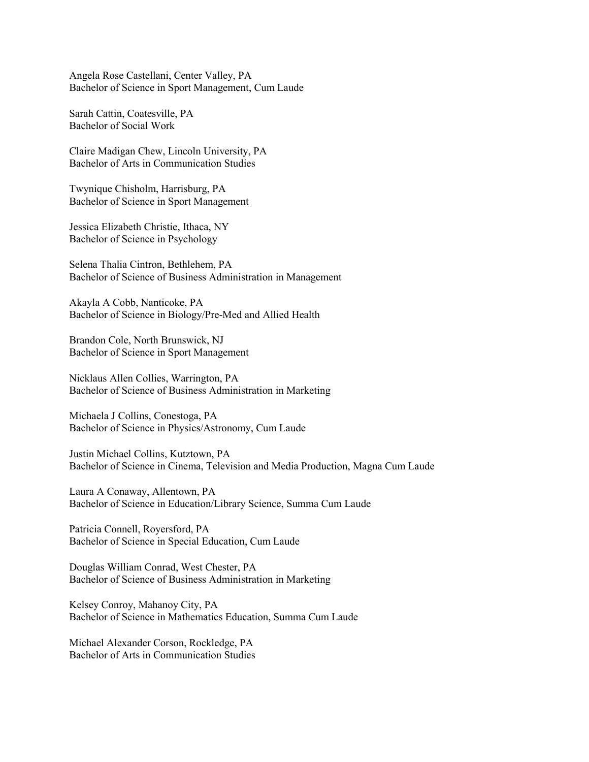Angela Rose Castellani, Center Valley, PA Bachelor of Science in Sport Management, Cum Laude

Sarah Cattin, Coatesville, PA Bachelor of Social Work

Claire Madigan Chew, Lincoln University, PA Bachelor of Arts in Communication Studies

Twynique Chisholm, Harrisburg, PA Bachelor of Science in Sport Management

Jessica Elizabeth Christie, Ithaca, NY Bachelor of Science in Psychology

Selena Thalia Cintron, Bethlehem, PA Bachelor of Science of Business Administration in Management

Akayla A Cobb, Nanticoke, PA Bachelor of Science in Biology/Pre-Med and Allied Health

Brandon Cole, North Brunswick, NJ Bachelor of Science in Sport Management

Nicklaus Allen Collies, Warrington, PA Bachelor of Science of Business Administration in Marketing

Michaela J Collins, Conestoga, PA Bachelor of Science in Physics/Astronomy, Cum Laude

Justin Michael Collins, Kutztown, PA Bachelor of Science in Cinema, Television and Media Production, Magna Cum Laude

Laura A Conaway, Allentown, PA Bachelor of Science in Education/Library Science, Summa Cum Laude

Patricia Connell, Royersford, PA Bachelor of Science in Special Education, Cum Laude

Douglas William Conrad, West Chester, PA Bachelor of Science of Business Administration in Marketing

Kelsey Conroy, Mahanoy City, PA Bachelor of Science in Mathematics Education, Summa Cum Laude

Michael Alexander Corson, Rockledge, PA Bachelor of Arts in Communication Studies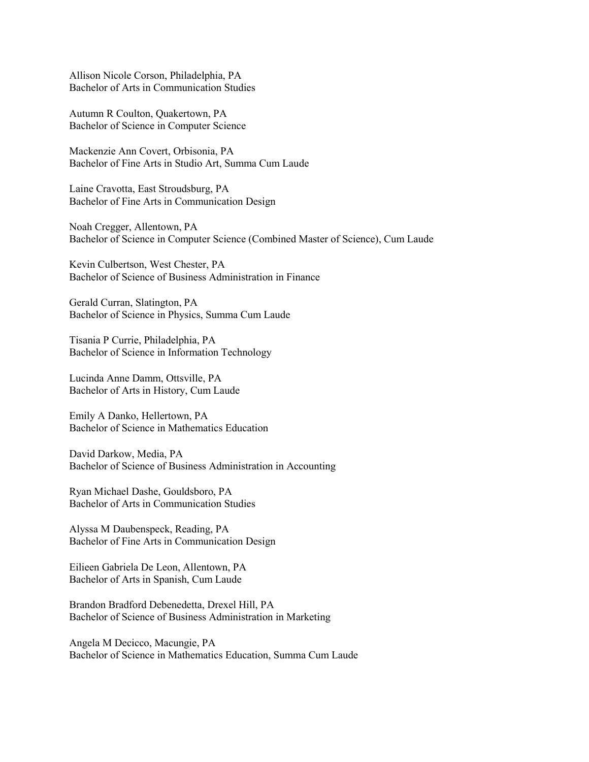Allison Nicole Corson, Philadelphia, PA Bachelor of Arts in Communication Studies

Autumn R Coulton, Quakertown, PA Bachelor of Science in Computer Science

Mackenzie Ann Covert, Orbisonia, PA Bachelor of Fine Arts in Studio Art, Summa Cum Laude

Laine Cravotta, East Stroudsburg, PA Bachelor of Fine Arts in Communication Design

Noah Cregger, Allentown, PA Bachelor of Science in Computer Science (Combined Master of Science), Cum Laude

Kevin Culbertson, West Chester, PA Bachelor of Science of Business Administration in Finance

Gerald Curran, Slatington, PA Bachelor of Science in Physics, Summa Cum Laude

Tisania P Currie, Philadelphia, PA Bachelor of Science in Information Technology

Lucinda Anne Damm, Ottsville, PA Bachelor of Arts in History, Cum Laude

Emily A Danko, Hellertown, PA Bachelor of Science in Mathematics Education

David Darkow, Media, PA Bachelor of Science of Business Administration in Accounting

Ryan Michael Dashe, Gouldsboro, PA Bachelor of Arts in Communication Studies

Alyssa M Daubenspeck, Reading, PA Bachelor of Fine Arts in Communication Design

Eilieen Gabriela De Leon, Allentown, PA Bachelor of Arts in Spanish, Cum Laude

Brandon Bradford Debenedetta, Drexel Hill, PA Bachelor of Science of Business Administration in Marketing

Angela M Decicco, Macungie, PA Bachelor of Science in Mathematics Education, Summa Cum Laude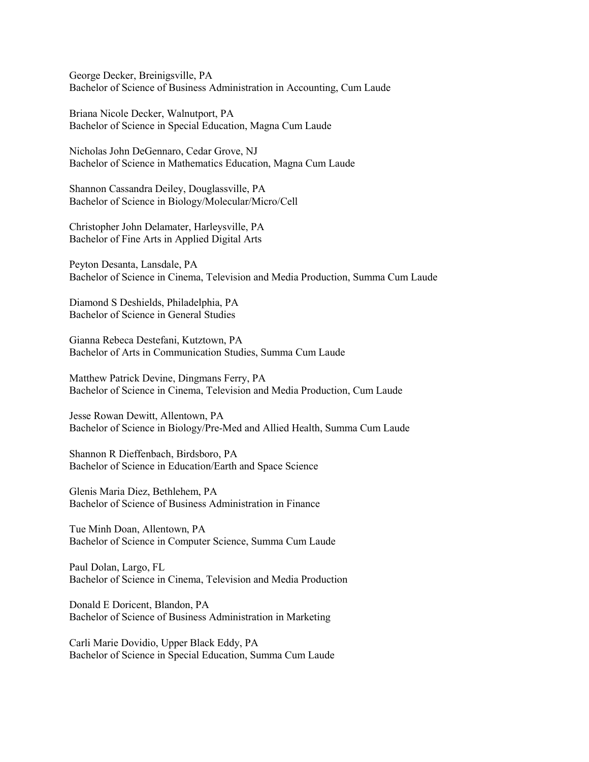George Decker, Breinigsville, PA Bachelor of Science of Business Administration in Accounting, Cum Laude

Briana Nicole Decker, Walnutport, PA Bachelor of Science in Special Education, Magna Cum Laude

Nicholas John DeGennaro, Cedar Grove, NJ Bachelor of Science in Mathematics Education, Magna Cum Laude

Shannon Cassandra Deiley, Douglassville, PA Bachelor of Science in Biology/Molecular/Micro/Cell

Christopher John Delamater, Harleysville, PA Bachelor of Fine Arts in Applied Digital Arts

Peyton Desanta, Lansdale, PA Bachelor of Science in Cinema, Television and Media Production, Summa Cum Laude

Diamond S Deshields, Philadelphia, PA Bachelor of Science in General Studies

Gianna Rebeca Destefani, Kutztown, PA Bachelor of Arts in Communication Studies, Summa Cum Laude

Matthew Patrick Devine, Dingmans Ferry, PA Bachelor of Science in Cinema, Television and Media Production, Cum Laude

Jesse Rowan Dewitt, Allentown, PA Bachelor of Science in Biology/Pre-Med and Allied Health, Summa Cum Laude

Shannon R Dieffenbach, Birdsboro, PA Bachelor of Science in Education/Earth and Space Science

Glenis Maria Diez, Bethlehem, PA Bachelor of Science of Business Administration in Finance

Tue Minh Doan, Allentown, PA Bachelor of Science in Computer Science, Summa Cum Laude

Paul Dolan, Largo, FL Bachelor of Science in Cinema, Television and Media Production

Donald E Doricent, Blandon, PA Bachelor of Science of Business Administration in Marketing

Carli Marie Dovidio, Upper Black Eddy, PA Bachelor of Science in Special Education, Summa Cum Laude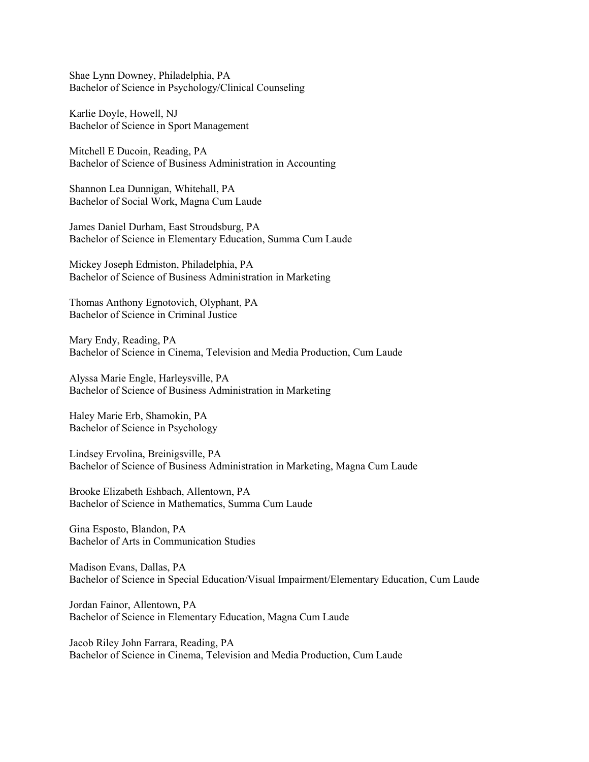Shae Lynn Downey, Philadelphia, PA Bachelor of Science in Psychology/Clinical Counseling

Karlie Doyle, Howell, NJ Bachelor of Science in Sport Management

Mitchell E Ducoin, Reading, PA Bachelor of Science of Business Administration in Accounting

Shannon Lea Dunnigan, Whitehall, PA Bachelor of Social Work, Magna Cum Laude

James Daniel Durham, East Stroudsburg, PA Bachelor of Science in Elementary Education, Summa Cum Laude

Mickey Joseph Edmiston, Philadelphia, PA Bachelor of Science of Business Administration in Marketing

Thomas Anthony Egnotovich, Olyphant, PA Bachelor of Science in Criminal Justice

Mary Endy, Reading, PA Bachelor of Science in Cinema, Television and Media Production, Cum Laude

Alyssa Marie Engle, Harleysville, PA Bachelor of Science of Business Administration in Marketing

Haley Marie Erb, Shamokin, PA Bachelor of Science in Psychology

Lindsey Ervolina, Breinigsville, PA Bachelor of Science of Business Administration in Marketing, Magna Cum Laude

Brooke Elizabeth Eshbach, Allentown, PA Bachelor of Science in Mathematics, Summa Cum Laude

Gina Esposto, Blandon, PA Bachelor of Arts in Communication Studies

Madison Evans, Dallas, PA Bachelor of Science in Special Education/Visual Impairment/Elementary Education, Cum Laude

Jordan Fainor, Allentown, PA Bachelor of Science in Elementary Education, Magna Cum Laude

Jacob Riley John Farrara, Reading, PA Bachelor of Science in Cinema, Television and Media Production, Cum Laude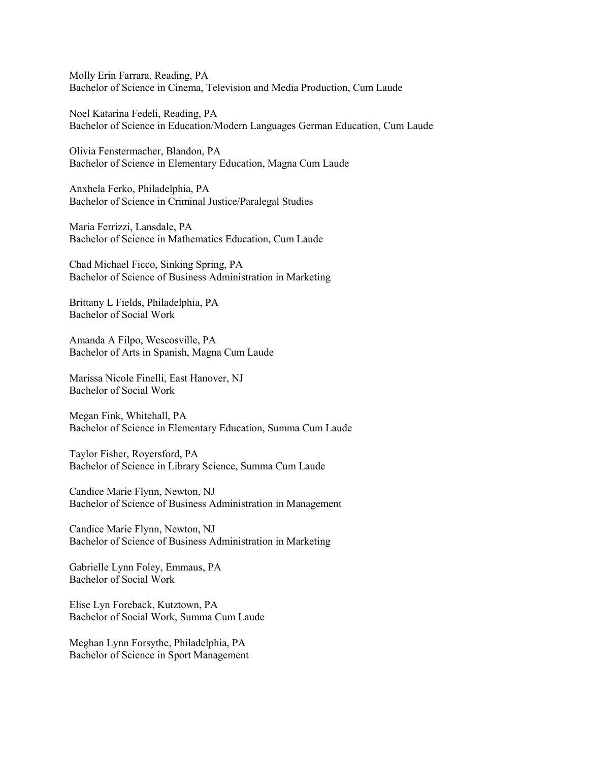Molly Erin Farrara, Reading, PA Bachelor of Science in Cinema, Television and Media Production, Cum Laude

Noel Katarina Fedeli, Reading, PA Bachelor of Science in Education/Modern Languages German Education, Cum Laude

Olivia Fenstermacher, Blandon, PA Bachelor of Science in Elementary Education, Magna Cum Laude

Anxhela Ferko, Philadelphia, PA Bachelor of Science in Criminal Justice/Paralegal Studies

Maria Ferrizzi, Lansdale, PA Bachelor of Science in Mathematics Education, Cum Laude

Chad Michael Ficco, Sinking Spring, PA Bachelor of Science of Business Administration in Marketing

Brittany L Fields, Philadelphia, PA Bachelor of Social Work

Amanda A Filpo, Wescosville, PA Bachelor of Arts in Spanish, Magna Cum Laude

Marissa Nicole Finelli, East Hanover, NJ Bachelor of Social Work

Megan Fink, Whitehall, PA Bachelor of Science in Elementary Education, Summa Cum Laude

Taylor Fisher, Royersford, PA Bachelor of Science in Library Science, Summa Cum Laude

Candice Marie Flynn, Newton, NJ Bachelor of Science of Business Administration in Management

Candice Marie Flynn, Newton, NJ Bachelor of Science of Business Administration in Marketing

Gabrielle Lynn Foley, Emmaus, PA Bachelor of Social Work

Elise Lyn Foreback, Kutztown, PA Bachelor of Social Work, Summa Cum Laude

Meghan Lynn Forsythe, Philadelphia, PA Bachelor of Science in Sport Management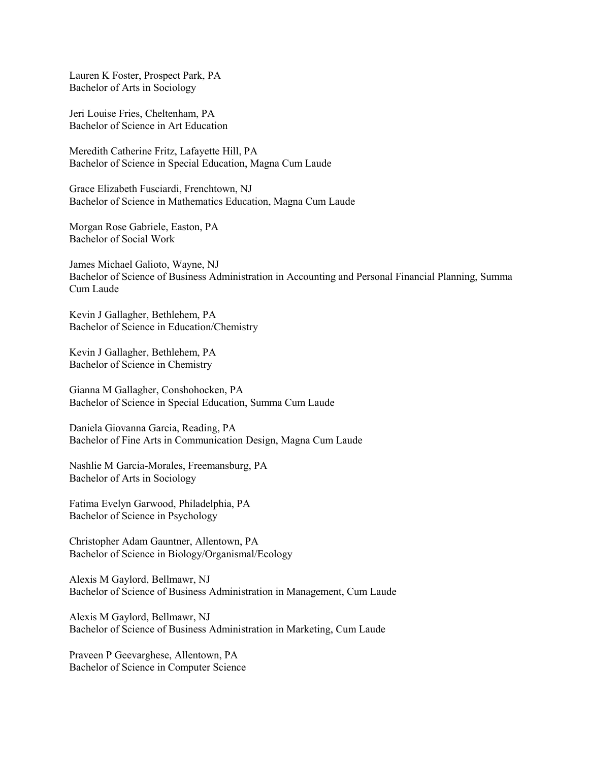Lauren K Foster, Prospect Park, PA Bachelor of Arts in Sociology

Jeri Louise Fries, Cheltenham, PA Bachelor of Science in Art Education

Meredith Catherine Fritz, Lafayette Hill, PA Bachelor of Science in Special Education, Magna Cum Laude

Grace Elizabeth Fusciardi, Frenchtown, NJ Bachelor of Science in Mathematics Education, Magna Cum Laude

Morgan Rose Gabriele, Easton, PA Bachelor of Social Work

James Michael Galioto, Wayne, NJ Bachelor of Science of Business Administration in Accounting and Personal Financial Planning, Summa Cum Laude

Kevin J Gallagher, Bethlehem, PA Bachelor of Science in Education/Chemistry

Kevin J Gallagher, Bethlehem, PA Bachelor of Science in Chemistry

Gianna M Gallagher, Conshohocken, PA Bachelor of Science in Special Education, Summa Cum Laude

Daniela Giovanna Garcia, Reading, PA Bachelor of Fine Arts in Communication Design, Magna Cum Laude

Nashlie M Garcia-Morales, Freemansburg, PA Bachelor of Arts in Sociology

Fatima Evelyn Garwood, Philadelphia, PA Bachelor of Science in Psychology

Christopher Adam Gauntner, Allentown, PA Bachelor of Science in Biology/Organismal/Ecology

Alexis M Gaylord, Bellmawr, NJ Bachelor of Science of Business Administration in Management, Cum Laude

Alexis M Gaylord, Bellmawr, NJ Bachelor of Science of Business Administration in Marketing, Cum Laude

Praveen P Geevarghese, Allentown, PA Bachelor of Science in Computer Science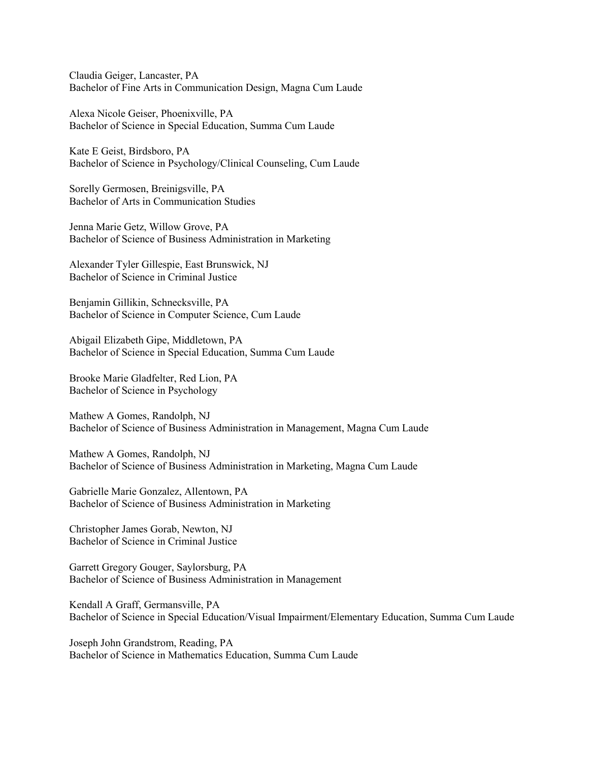Claudia Geiger, Lancaster, PA Bachelor of Fine Arts in Communication Design, Magna Cum Laude

Alexa Nicole Geiser, Phoenixville, PA Bachelor of Science in Special Education, Summa Cum Laude

Kate E Geist, Birdsboro, PA Bachelor of Science in Psychology/Clinical Counseling, Cum Laude

Sorelly Germosen, Breinigsville, PA Bachelor of Arts in Communication Studies

Jenna Marie Getz, Willow Grove, PA Bachelor of Science of Business Administration in Marketing

Alexander Tyler Gillespie, East Brunswick, NJ Bachelor of Science in Criminal Justice

Benjamin Gillikin, Schnecksville, PA Bachelor of Science in Computer Science, Cum Laude

Abigail Elizabeth Gipe, Middletown, PA Bachelor of Science in Special Education, Summa Cum Laude

Brooke Marie Gladfelter, Red Lion, PA Bachelor of Science in Psychology

Mathew A Gomes, Randolph, NJ Bachelor of Science of Business Administration in Management, Magna Cum Laude

Mathew A Gomes, Randolph, NJ Bachelor of Science of Business Administration in Marketing, Magna Cum Laude

Gabrielle Marie Gonzalez, Allentown, PA Bachelor of Science of Business Administration in Marketing

Christopher James Gorab, Newton, NJ Bachelor of Science in Criminal Justice

Garrett Gregory Gouger, Saylorsburg, PA Bachelor of Science of Business Administration in Management

Kendall A Graff, Germansville, PA Bachelor of Science in Special Education/Visual Impairment/Elementary Education, Summa Cum Laude

Joseph John Grandstrom, Reading, PA Bachelor of Science in Mathematics Education, Summa Cum Laude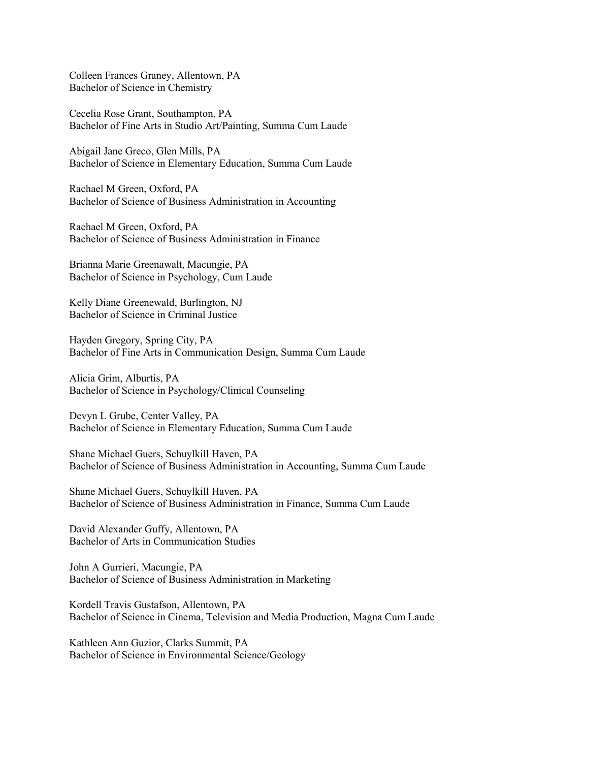Colleen Frances Graney, Allentown, PA Bachelor of Science in Chemistry

Cecelia Rose Grant, Southampton, PA Bachelor of Fine Arts in Studio Art/Painting, Summa Cum Laude

Abigail Jane Greco, Glen Mills, PA Bachelor of Science in Elementary Education, Summa Cum Laude

Rachael M Green, Oxford, PA Bachelor of Science of Business Administration in Accounting

Rachael M Green, Oxford, PA Bachelor of Science of Business Administration in Finance

Brianna Marie Greenawalt, Macungie, PA Bachelor of Science in Psychology, Cum Laude

Kelly Diane Greenewald, Burlington, NJ Bachelor of Science in Criminal Justice

Hayden Gregory, Spring City, PA Bachelor of Fine Arts in Communication Design, Summa Cum Laude

Alicia Grim, Alburtis, PA Bachelor of Science in Psychology/Clinical Counseling

Devyn L Grube, Center Valley, PA Bachelor of Science in Elementary Education, Summa Cum Laude

Shane Michael Guers, Schuylkill Haven, PA Bachelor of Science of Business Administration in Accounting, Summa Cum Laude

Shane Michael Guers, Schuylkill Haven, PA Bachelor of Science of Business Administration in Finance, Summa Cum Laude

David Alexander Guffy, Allentown, PA Bachelor of Arts in Communication Studies

John A Gurrieri, Macungie, PA Bachelor of Science of Business Administration in Marketing

Kordell Travis Gustafson, Allentown, PA Bachelor of Science in Cinema, Television and Media Production, Magna Cum Laude

Kathleen Ann Guzior, Clarks Summit, PA Bachelor of Science in Environmental Science/Geology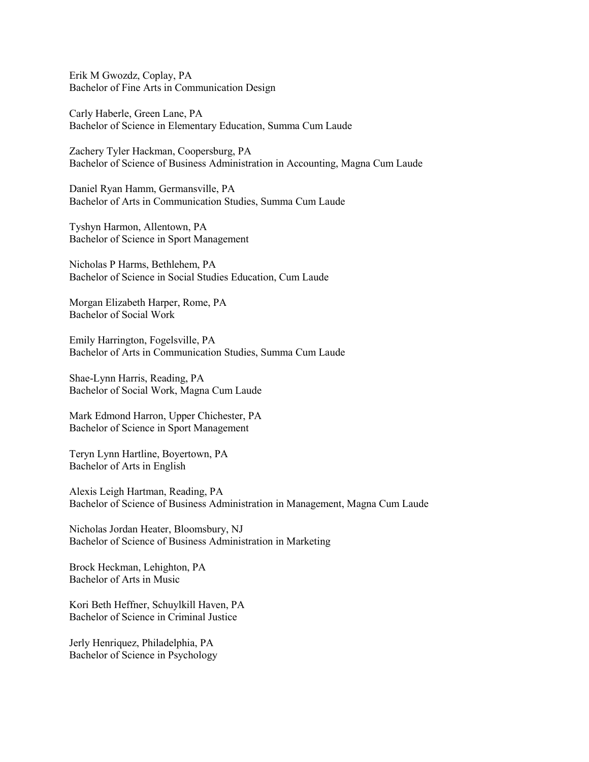Erik M Gwozdz, Coplay, PA Bachelor of Fine Arts in Communication Design

Carly Haberle, Green Lane, PA Bachelor of Science in Elementary Education, Summa Cum Laude

Zachery Tyler Hackman, Coopersburg, PA Bachelor of Science of Business Administration in Accounting, Magna Cum Laude

Daniel Ryan Hamm, Germansville, PA Bachelor of Arts in Communication Studies, Summa Cum Laude

Tyshyn Harmon, Allentown, PA Bachelor of Science in Sport Management

Nicholas P Harms, Bethlehem, PA Bachelor of Science in Social Studies Education, Cum Laude

Morgan Elizabeth Harper, Rome, PA Bachelor of Social Work

Emily Harrington, Fogelsville, PA Bachelor of Arts in Communication Studies, Summa Cum Laude

Shae-Lynn Harris, Reading, PA Bachelor of Social Work, Magna Cum Laude

Mark Edmond Harron, Upper Chichester, PA Bachelor of Science in Sport Management

Teryn Lynn Hartline, Boyertown, PA Bachelor of Arts in English

Alexis Leigh Hartman, Reading, PA Bachelor of Science of Business Administration in Management, Magna Cum Laude

Nicholas Jordan Heater, Bloomsbury, NJ Bachelor of Science of Business Administration in Marketing

Brock Heckman, Lehighton, PA Bachelor of Arts in Music

Kori Beth Heffner, Schuylkill Haven, PA Bachelor of Science in Criminal Justice

Jerly Henriquez, Philadelphia, PA Bachelor of Science in Psychology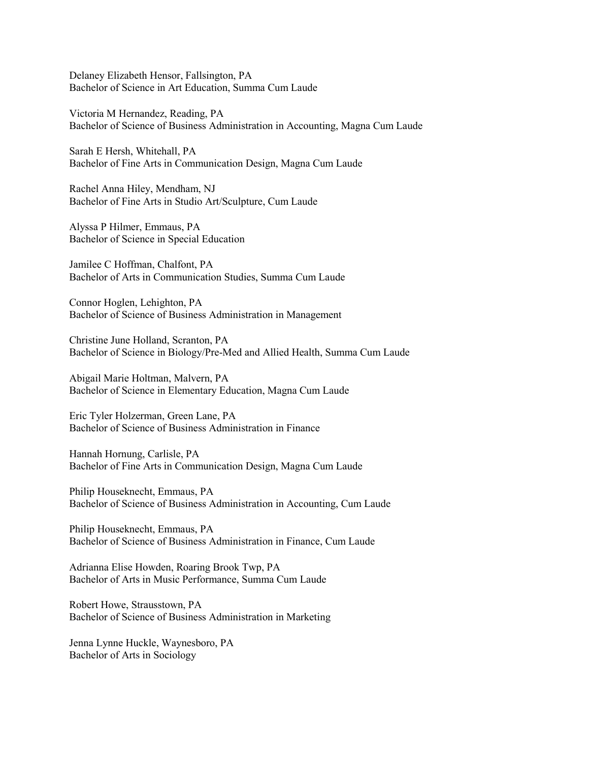Delaney Elizabeth Hensor, Fallsington, PA Bachelor of Science in Art Education, Summa Cum Laude

Victoria M Hernandez, Reading, PA Bachelor of Science of Business Administration in Accounting, Magna Cum Laude

Sarah E Hersh, Whitehall, PA Bachelor of Fine Arts in Communication Design, Magna Cum Laude

Rachel Anna Hiley, Mendham, NJ Bachelor of Fine Arts in Studio Art/Sculpture, Cum Laude

Alyssa P Hilmer, Emmaus, PA Bachelor of Science in Special Education

Jamilee C Hoffman, Chalfont, PA Bachelor of Arts in Communication Studies, Summa Cum Laude

Connor Hoglen, Lehighton, PA Bachelor of Science of Business Administration in Management

Christine June Holland, Scranton, PA Bachelor of Science in Biology/Pre-Med and Allied Health, Summa Cum Laude

Abigail Marie Holtman, Malvern, PA Bachelor of Science in Elementary Education, Magna Cum Laude

Eric Tyler Holzerman, Green Lane, PA Bachelor of Science of Business Administration in Finance

Hannah Hornung, Carlisle, PA Bachelor of Fine Arts in Communication Design, Magna Cum Laude

Philip Houseknecht, Emmaus, PA Bachelor of Science of Business Administration in Accounting, Cum Laude

Philip Houseknecht, Emmaus, PA Bachelor of Science of Business Administration in Finance, Cum Laude

Adrianna Elise Howden, Roaring Brook Twp, PA Bachelor of Arts in Music Performance, Summa Cum Laude

Robert Howe, Strausstown, PA Bachelor of Science of Business Administration in Marketing

Jenna Lynne Huckle, Waynesboro, PA Bachelor of Arts in Sociology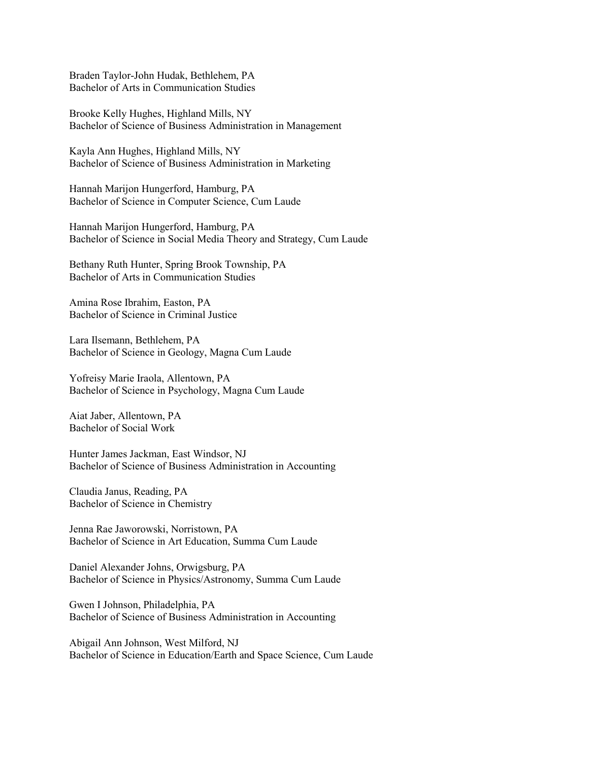Braden Taylor-John Hudak, Bethlehem, PA Bachelor of Arts in Communication Studies

Brooke Kelly Hughes, Highland Mills, NY Bachelor of Science of Business Administration in Management

Kayla Ann Hughes, Highland Mills, NY Bachelor of Science of Business Administration in Marketing

Hannah Marijon Hungerford, Hamburg, PA Bachelor of Science in Computer Science, Cum Laude

Hannah Marijon Hungerford, Hamburg, PA Bachelor of Science in Social Media Theory and Strategy, Cum Laude

Bethany Ruth Hunter, Spring Brook Township, PA Bachelor of Arts in Communication Studies

Amina Rose Ibrahim, Easton, PA Bachelor of Science in Criminal Justice

Lara Ilsemann, Bethlehem, PA Bachelor of Science in Geology, Magna Cum Laude

Yofreisy Marie Iraola, Allentown, PA Bachelor of Science in Psychology, Magna Cum Laude

Aiat Jaber, Allentown, PA Bachelor of Social Work

Hunter James Jackman, East Windsor, NJ Bachelor of Science of Business Administration in Accounting

Claudia Janus, Reading, PA Bachelor of Science in Chemistry

Jenna Rae Jaworowski, Norristown, PA Bachelor of Science in Art Education, Summa Cum Laude

Daniel Alexander Johns, Orwigsburg, PA Bachelor of Science in Physics/Astronomy, Summa Cum Laude

Gwen I Johnson, Philadelphia, PA Bachelor of Science of Business Administration in Accounting

Abigail Ann Johnson, West Milford, NJ Bachelor of Science in Education/Earth and Space Science, Cum Laude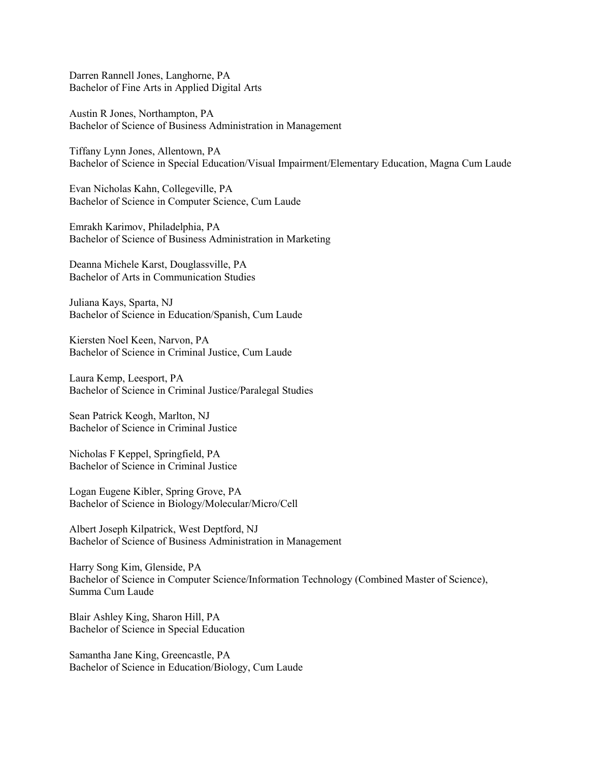Darren Rannell Jones, Langhorne, PA Bachelor of Fine Arts in Applied Digital Arts

Austin R Jones, Northampton, PA Bachelor of Science of Business Administration in Management

Tiffany Lynn Jones, Allentown, PA Bachelor of Science in Special Education/Visual Impairment/Elementary Education, Magna Cum Laude

Evan Nicholas Kahn, Collegeville, PA Bachelor of Science in Computer Science, Cum Laude

Emrakh Karimov, Philadelphia, PA Bachelor of Science of Business Administration in Marketing

Deanna Michele Karst, Douglassville, PA Bachelor of Arts in Communication Studies

Juliana Kays, Sparta, NJ Bachelor of Science in Education/Spanish, Cum Laude

Kiersten Noel Keen, Narvon, PA Bachelor of Science in Criminal Justice, Cum Laude

Laura Kemp, Leesport, PA Bachelor of Science in Criminal Justice/Paralegal Studies

Sean Patrick Keogh, Marlton, NJ Bachelor of Science in Criminal Justice

Nicholas F Keppel, Springfield, PA Bachelor of Science in Criminal Justice

Logan Eugene Kibler, Spring Grove, PA Bachelor of Science in Biology/Molecular/Micro/Cell

Albert Joseph Kilpatrick, West Deptford, NJ Bachelor of Science of Business Administration in Management

Harry Song Kim, Glenside, PA Bachelor of Science in Computer Science/Information Technology (Combined Master of Science), Summa Cum Laude

Blair Ashley King, Sharon Hill, PA Bachelor of Science in Special Education

Samantha Jane King, Greencastle, PA Bachelor of Science in Education/Biology, Cum Laude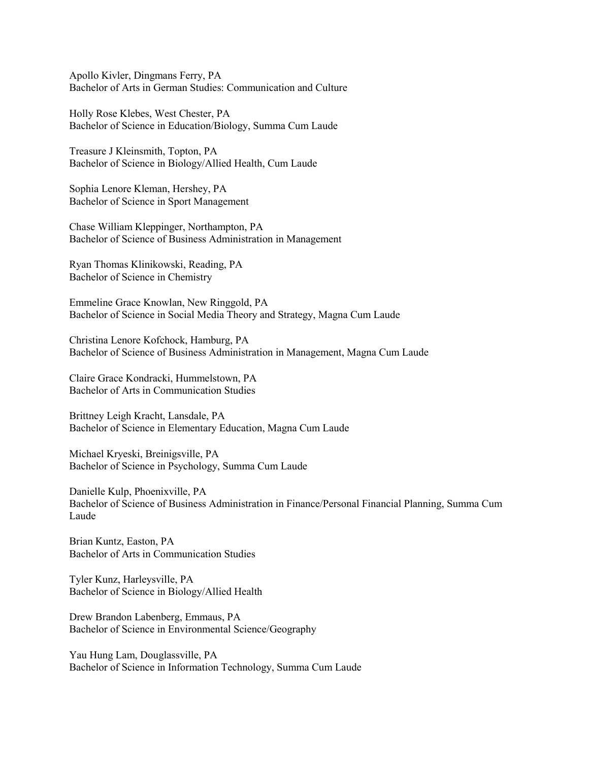Apollo Kivler, Dingmans Ferry, PA Bachelor of Arts in German Studies: Communication and Culture

Holly Rose Klebes, West Chester, PA Bachelor of Science in Education/Biology, Summa Cum Laude

Treasure J Kleinsmith, Topton, PA Bachelor of Science in Biology/Allied Health, Cum Laude

Sophia Lenore Kleman, Hershey, PA Bachelor of Science in Sport Management

Chase William Kleppinger, Northampton, PA Bachelor of Science of Business Administration in Management

Ryan Thomas Klinikowski, Reading, PA Bachelor of Science in Chemistry

Emmeline Grace Knowlan, New Ringgold, PA Bachelor of Science in Social Media Theory and Strategy, Magna Cum Laude

Christina Lenore Kofchock, Hamburg, PA Bachelor of Science of Business Administration in Management, Magna Cum Laude

Claire Grace Kondracki, Hummelstown, PA Bachelor of Arts in Communication Studies

Brittney Leigh Kracht, Lansdale, PA Bachelor of Science in Elementary Education, Magna Cum Laude

Michael Kryeski, Breinigsville, PA Bachelor of Science in Psychology, Summa Cum Laude

Danielle Kulp, Phoenixville, PA Bachelor of Science of Business Administration in Finance/Personal Financial Planning, Summa Cum Laude

Brian Kuntz, Easton, PA Bachelor of Arts in Communication Studies

Tyler Kunz, Harleysville, PA Bachelor of Science in Biology/Allied Health

Drew Brandon Labenberg, Emmaus, PA Bachelor of Science in Environmental Science/Geography

Yau Hung Lam, Douglassville, PA Bachelor of Science in Information Technology, Summa Cum Laude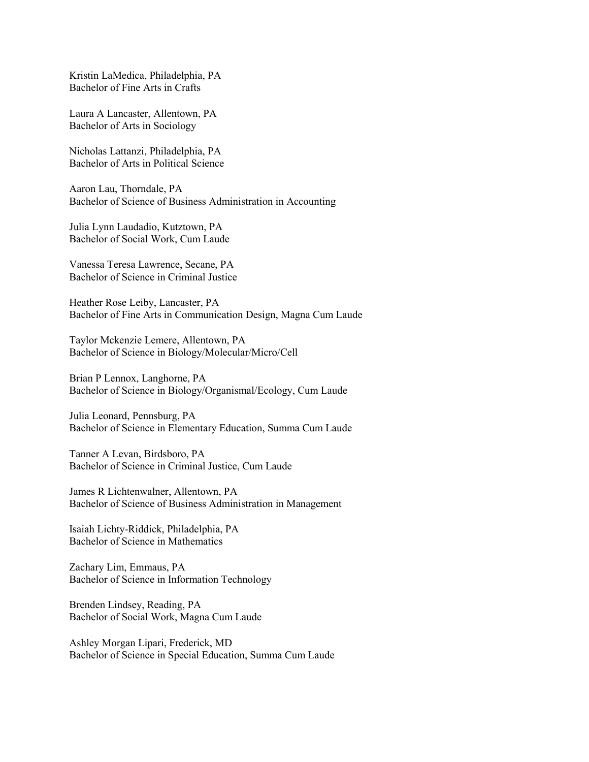Kristin LaMedica, Philadelphia, PA Bachelor of Fine Arts in Crafts

Laura A Lancaster, Allentown, PA Bachelor of Arts in Sociology

Nicholas Lattanzi, Philadelphia, PA Bachelor of Arts in Political Science

Aaron Lau, Thorndale, PA Bachelor of Science of Business Administration in Accounting

Julia Lynn Laudadio, Kutztown, PA Bachelor of Social Work, Cum Laude

Vanessa Teresa Lawrence, Secane, PA Bachelor of Science in Criminal Justice

Heather Rose Leiby, Lancaster, PA Bachelor of Fine Arts in Communication Design, Magna Cum Laude

Taylor Mckenzie Lemere, Allentown, PA Bachelor of Science in Biology/Molecular/Micro/Cell

Brian P Lennox, Langhorne, PA Bachelor of Science in Biology/Organismal/Ecology, Cum Laude

Julia Leonard, Pennsburg, PA Bachelor of Science in Elementary Education, Summa Cum Laude

Tanner A Levan, Birdsboro, PA Bachelor of Science in Criminal Justice, Cum Laude

James R Lichtenwalner, Allentown, PA Bachelor of Science of Business Administration in Management

Isaiah Lichty-Riddick, Philadelphia, PA Bachelor of Science in Mathematics

Zachary Lim, Emmaus, PA Bachelor of Science in Information Technology

Brenden Lindsey, Reading, PA Bachelor of Social Work, Magna Cum Laude

Ashley Morgan Lipari, Frederick, MD Bachelor of Science in Special Education, Summa Cum Laude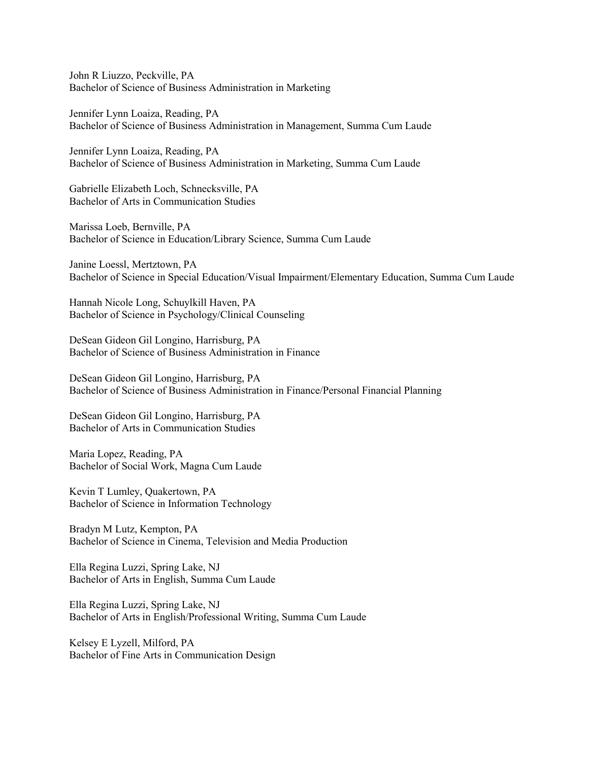John R Liuzzo, Peckville, PA Bachelor of Science of Business Administration in Marketing

Jennifer Lynn Loaiza, Reading, PA Bachelor of Science of Business Administration in Management, Summa Cum Laude

Jennifer Lynn Loaiza, Reading, PA Bachelor of Science of Business Administration in Marketing, Summa Cum Laude

Gabrielle Elizabeth Loch, Schnecksville, PA Bachelor of Arts in Communication Studies

Marissa Loeb, Bernville, PA Bachelor of Science in Education/Library Science, Summa Cum Laude

Janine Loessl, Mertztown, PA Bachelor of Science in Special Education/Visual Impairment/Elementary Education, Summa Cum Laude

Hannah Nicole Long, Schuylkill Haven, PA Bachelor of Science in Psychology/Clinical Counseling

DeSean Gideon Gil Longino, Harrisburg, PA Bachelor of Science of Business Administration in Finance

DeSean Gideon Gil Longino, Harrisburg, PA Bachelor of Science of Business Administration in Finance/Personal Financial Planning

DeSean Gideon Gil Longino, Harrisburg, PA Bachelor of Arts in Communication Studies

Maria Lopez, Reading, PA Bachelor of Social Work, Magna Cum Laude

Kevin T Lumley, Quakertown, PA Bachelor of Science in Information Technology

Bradyn M Lutz, Kempton, PA Bachelor of Science in Cinema, Television and Media Production

Ella Regina Luzzi, Spring Lake, NJ Bachelor of Arts in English, Summa Cum Laude

Ella Regina Luzzi, Spring Lake, NJ Bachelor of Arts in English/Professional Writing, Summa Cum Laude

Kelsey E Lyzell, Milford, PA Bachelor of Fine Arts in Communication Design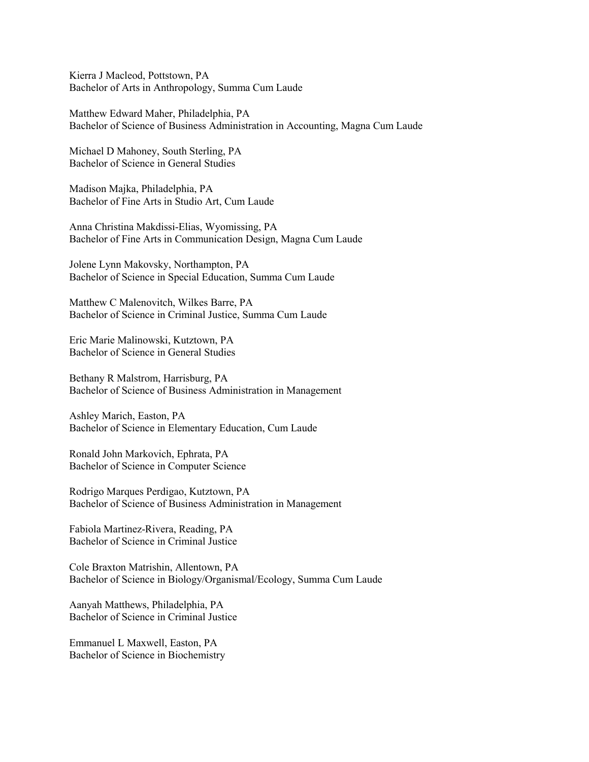Kierra J Macleod, Pottstown, PA Bachelor of Arts in Anthropology, Summa Cum Laude

Matthew Edward Maher, Philadelphia, PA Bachelor of Science of Business Administration in Accounting, Magna Cum Laude

Michael D Mahoney, South Sterling, PA Bachelor of Science in General Studies

Madison Majka, Philadelphia, PA Bachelor of Fine Arts in Studio Art, Cum Laude

Anna Christina Makdissi-Elias, Wyomissing, PA Bachelor of Fine Arts in Communication Design, Magna Cum Laude

Jolene Lynn Makovsky, Northampton, PA Bachelor of Science in Special Education, Summa Cum Laude

Matthew C Malenovitch, Wilkes Barre, PA Bachelor of Science in Criminal Justice, Summa Cum Laude

Eric Marie Malinowski, Kutztown, PA Bachelor of Science in General Studies

Bethany R Malstrom, Harrisburg, PA Bachelor of Science of Business Administration in Management

Ashley Marich, Easton, PA Bachelor of Science in Elementary Education, Cum Laude

Ronald John Markovich, Ephrata, PA Bachelor of Science in Computer Science

Rodrigo Marques Perdigao, Kutztown, PA Bachelor of Science of Business Administration in Management

Fabiola Martinez-Rivera, Reading, PA Bachelor of Science in Criminal Justice

Cole Braxton Matrishin, Allentown, PA Bachelor of Science in Biology/Organismal/Ecology, Summa Cum Laude

Aanyah Matthews, Philadelphia, PA Bachelor of Science in Criminal Justice

Emmanuel L Maxwell, Easton, PA Bachelor of Science in Biochemistry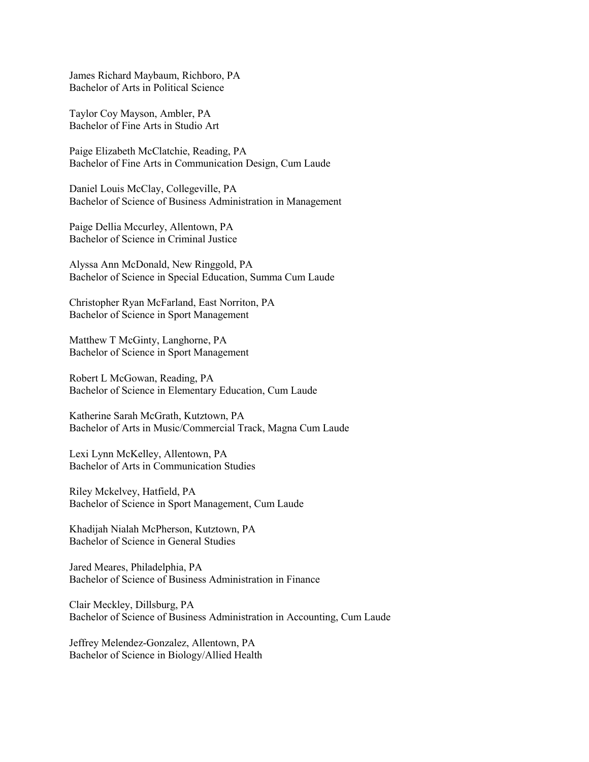James Richard Maybaum, Richboro, PA Bachelor of Arts in Political Science

Taylor Coy Mayson, Ambler, PA Bachelor of Fine Arts in Studio Art

Paige Elizabeth McClatchie, Reading, PA Bachelor of Fine Arts in Communication Design, Cum Laude

Daniel Louis McClay, Collegeville, PA Bachelor of Science of Business Administration in Management

Paige Dellia Mccurley, Allentown, PA Bachelor of Science in Criminal Justice

Alyssa Ann McDonald, New Ringgold, PA Bachelor of Science in Special Education, Summa Cum Laude

Christopher Ryan McFarland, East Norriton, PA Bachelor of Science in Sport Management

Matthew T McGinty, Langhorne, PA Bachelor of Science in Sport Management

Robert L McGowan, Reading, PA Bachelor of Science in Elementary Education, Cum Laude

Katherine Sarah McGrath, Kutztown, PA Bachelor of Arts in Music/Commercial Track, Magna Cum Laude

Lexi Lynn McKelley, Allentown, PA Bachelor of Arts in Communication Studies

Riley Mckelvey, Hatfield, PA Bachelor of Science in Sport Management, Cum Laude

Khadijah Nialah McPherson, Kutztown, PA Bachelor of Science in General Studies

Jared Meares, Philadelphia, PA Bachelor of Science of Business Administration in Finance

Clair Meckley, Dillsburg, PA Bachelor of Science of Business Administration in Accounting, Cum Laude

Jeffrey Melendez-Gonzalez, Allentown, PA Bachelor of Science in Biology/Allied Health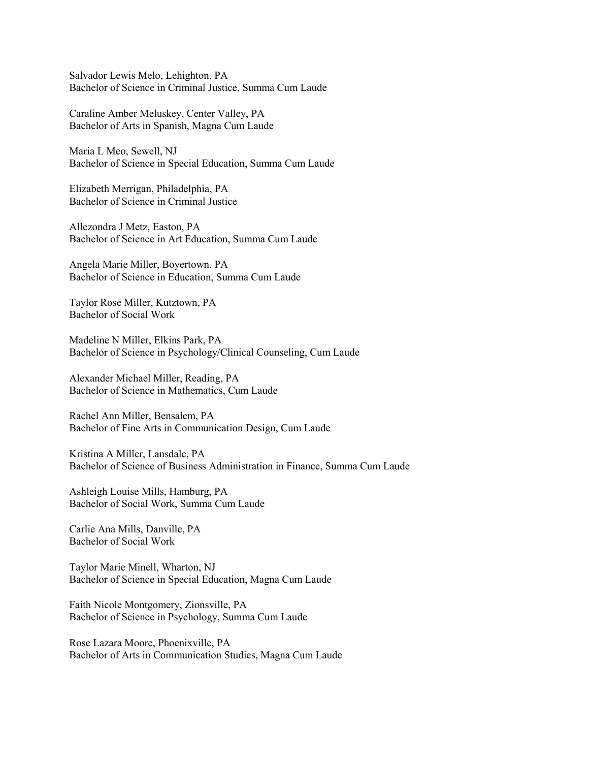Salvador Lewis Melo, Lehighton, PA Bachelor of Science in Criminal Justice, Summa Cum Laude

Caraline Amber Meluskey, Center Valley, PA Bachelor of Arts in Spanish, Magna Cum Laude

Maria L Meo, Sewell, NJ Bachelor of Science in Special Education, Summa Cum Laude

Elizabeth Merrigan, Philadelphia, PA Bachelor of Science in Criminal Justice

Allezondra J Metz, Easton, PA Bachelor of Science in Art Education, Summa Cum Laude

Angela Marie Miller, Boyertown, PA Bachelor of Science in Education, Summa Cum Laude

Taylor Rose Miller, Kutztown, PA Bachelor of Social Work

Madeline N Miller, Elkins Park, PA Bachelor of Science in Psychology/Clinical Counseling, Cum Laude

Alexander Michael Miller, Reading, PA Bachelor of Science in Mathematics, Cum Laude

Rachel Ann Miller, Bensalem, PA Bachelor of Fine Arts in Communication Design, Cum Laude

Kristina A Miller, Lansdale, PA Bachelor of Science of Business Administration in Finance, Summa Cum Laude

Ashleigh Louise Mills, Hamburg, PA Bachelor of Social Work, Summa Cum Laude

Carlie Ana Mills, Danville, PA Bachelor of Social Work

Taylor Marie Minell, Wharton, NJ Bachelor of Science in Special Education, Magna Cum Laude

Faith Nicole Montgomery, Zionsville, PA Bachelor of Science in Psychology, Summa Cum Laude

Rose Lazara Moore, Phoenixville, PA Bachelor of Arts in Communication Studies, Magna Cum Laude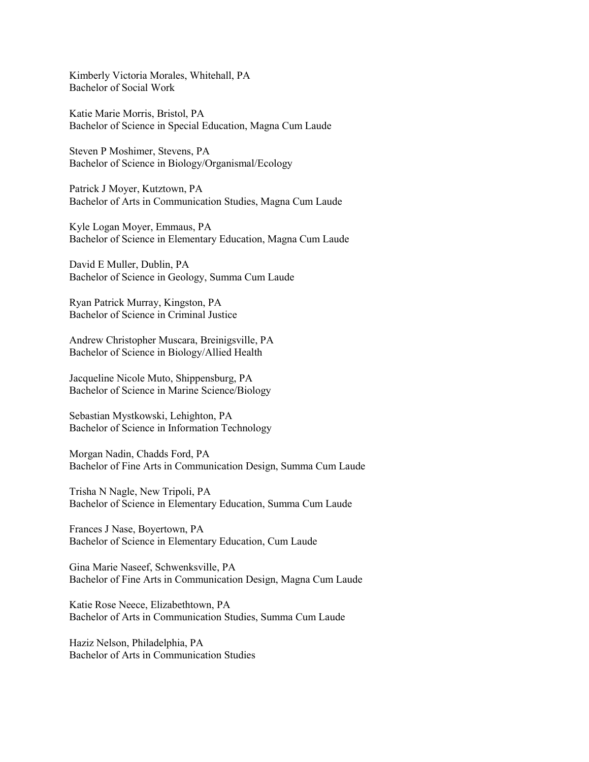Kimberly Victoria Morales, Whitehall, PA Bachelor of Social Work

Katie Marie Morris, Bristol, PA Bachelor of Science in Special Education, Magna Cum Laude

Steven P Moshimer, Stevens, PA Bachelor of Science in Biology/Organismal/Ecology

Patrick J Moyer, Kutztown, PA Bachelor of Arts in Communication Studies, Magna Cum Laude

Kyle Logan Moyer, Emmaus, PA Bachelor of Science in Elementary Education, Magna Cum Laude

David E Muller, Dublin, PA Bachelor of Science in Geology, Summa Cum Laude

Ryan Patrick Murray, Kingston, PA Bachelor of Science in Criminal Justice

Andrew Christopher Muscara, Breinigsville, PA Bachelor of Science in Biology/Allied Health

Jacqueline Nicole Muto, Shippensburg, PA Bachelor of Science in Marine Science/Biology

Sebastian Mystkowski, Lehighton, PA Bachelor of Science in Information Technology

Morgan Nadin, Chadds Ford, PA Bachelor of Fine Arts in Communication Design, Summa Cum Laude

Trisha N Nagle, New Tripoli, PA Bachelor of Science in Elementary Education, Summa Cum Laude

Frances J Nase, Boyertown, PA Bachelor of Science in Elementary Education, Cum Laude

Gina Marie Naseef, Schwenksville, PA Bachelor of Fine Arts in Communication Design, Magna Cum Laude

Katie Rose Neece, Elizabethtown, PA Bachelor of Arts in Communication Studies, Summa Cum Laude

Haziz Nelson, Philadelphia, PA Bachelor of Arts in Communication Studies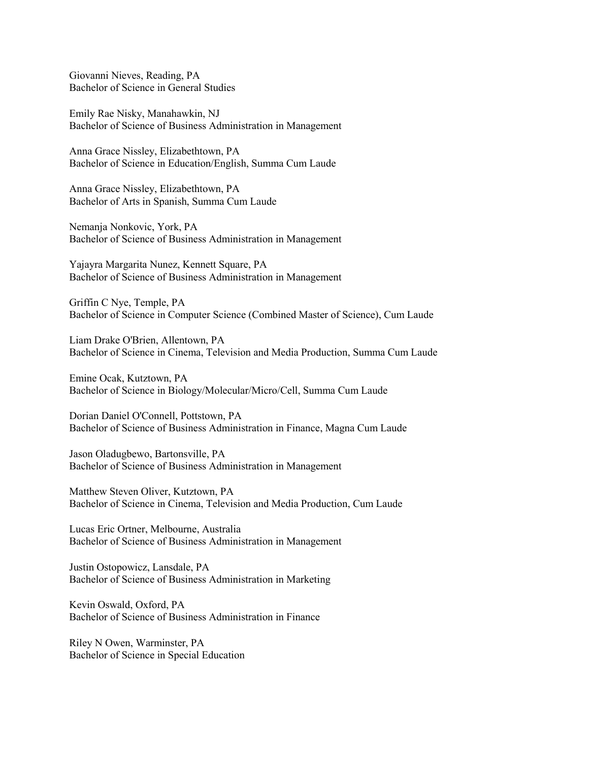Giovanni Nieves, Reading, PA Bachelor of Science in General Studies

Emily Rae Nisky, Manahawkin, NJ Bachelor of Science of Business Administration in Management

Anna Grace Nissley, Elizabethtown, PA Bachelor of Science in Education/English, Summa Cum Laude

Anna Grace Nissley, Elizabethtown, PA Bachelor of Arts in Spanish, Summa Cum Laude

Nemanja Nonkovic, York, PA Bachelor of Science of Business Administration in Management

Yajayra Margarita Nunez, Kennett Square, PA Bachelor of Science of Business Administration in Management

Griffin C Nye, Temple, PA Bachelor of Science in Computer Science (Combined Master of Science), Cum Laude

Liam Drake O'Brien, Allentown, PA Bachelor of Science in Cinema, Television and Media Production, Summa Cum Laude

Emine Ocak, Kutztown, PA Bachelor of Science in Biology/Molecular/Micro/Cell, Summa Cum Laude

Dorian Daniel O'Connell, Pottstown, PA Bachelor of Science of Business Administration in Finance, Magna Cum Laude

Jason Oladugbewo, Bartonsville, PA Bachelor of Science of Business Administration in Management

Matthew Steven Oliver, Kutztown, PA Bachelor of Science in Cinema, Television and Media Production, Cum Laude

Lucas Eric Ortner, Melbourne, Australia Bachelor of Science of Business Administration in Management

Justin Ostopowicz, Lansdale, PA Bachelor of Science of Business Administration in Marketing

Kevin Oswald, Oxford, PA Bachelor of Science of Business Administration in Finance

Riley N Owen, Warminster, PA Bachelor of Science in Special Education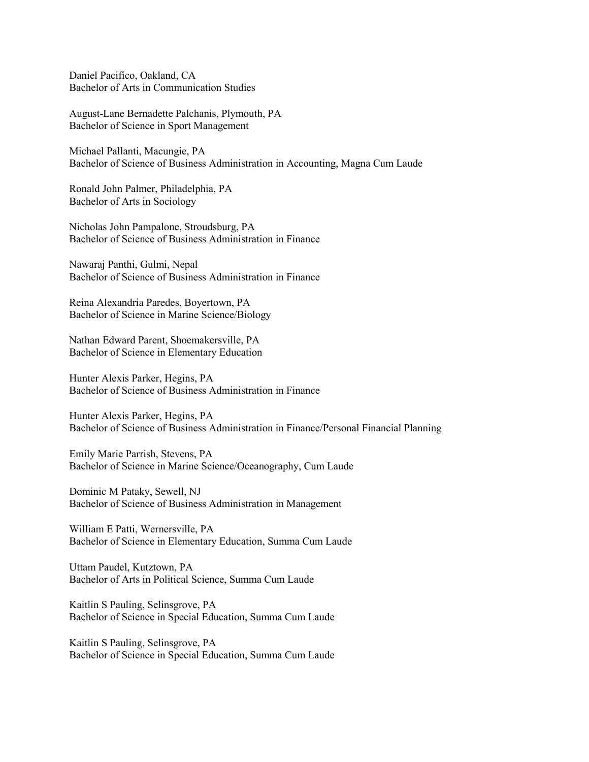Daniel Pacifico, Oakland, CA Bachelor of Arts in Communication Studies

August-Lane Bernadette Palchanis, Plymouth, PA Bachelor of Science in Sport Management

Michael Pallanti, Macungie, PA Bachelor of Science of Business Administration in Accounting, Magna Cum Laude

Ronald John Palmer, Philadelphia, PA Bachelor of Arts in Sociology

Nicholas John Pampalone, Stroudsburg, PA Bachelor of Science of Business Administration in Finance

Nawaraj Panthi, Gulmi, Nepal Bachelor of Science of Business Administration in Finance

Reina Alexandria Paredes, Boyertown, PA Bachelor of Science in Marine Science/Biology

Nathan Edward Parent, Shoemakersville, PA Bachelor of Science in Elementary Education

Hunter Alexis Parker, Hegins, PA Bachelor of Science of Business Administration in Finance

Hunter Alexis Parker, Hegins, PA Bachelor of Science of Business Administration in Finance/Personal Financial Planning

Emily Marie Parrish, Stevens, PA Bachelor of Science in Marine Science/Oceanography, Cum Laude

Dominic M Pataky, Sewell, NJ Bachelor of Science of Business Administration in Management

William E Patti, Wernersville, PA Bachelor of Science in Elementary Education, Summa Cum Laude

Uttam Paudel, Kutztown, PA Bachelor of Arts in Political Science, Summa Cum Laude

Kaitlin S Pauling, Selinsgrove, PA Bachelor of Science in Special Education, Summa Cum Laude

Kaitlin S Pauling, Selinsgrove, PA Bachelor of Science in Special Education, Summa Cum Laude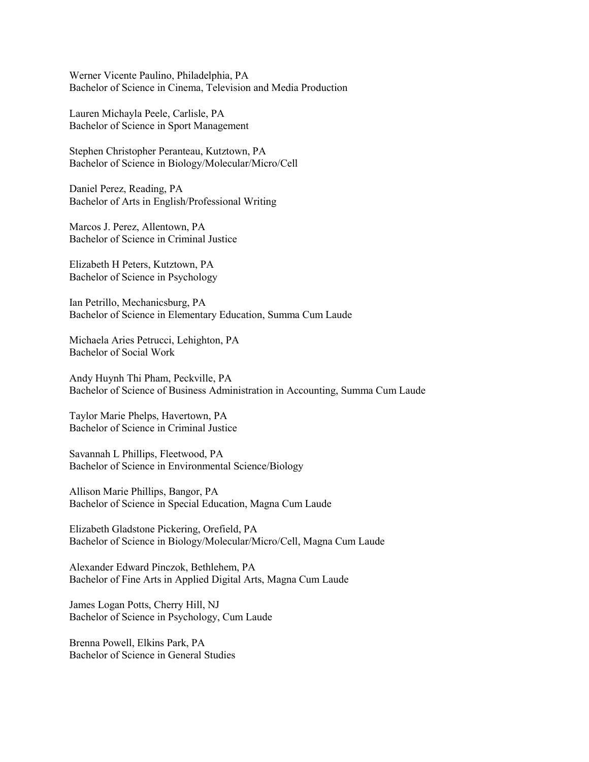Werner Vicente Paulino, Philadelphia, PA Bachelor of Science in Cinema, Television and Media Production

Lauren Michayla Peele, Carlisle, PA Bachelor of Science in Sport Management

Stephen Christopher Peranteau, Kutztown, PA Bachelor of Science in Biology/Molecular/Micro/Cell

Daniel Perez, Reading, PA Bachelor of Arts in English/Professional Writing

Marcos J. Perez, Allentown, PA Bachelor of Science in Criminal Justice

Elizabeth H Peters, Kutztown, PA Bachelor of Science in Psychology

Ian Petrillo, Mechanicsburg, PA Bachelor of Science in Elementary Education, Summa Cum Laude

Michaela Aries Petrucci, Lehighton, PA Bachelor of Social Work

Andy Huynh Thi Pham, Peckville, PA Bachelor of Science of Business Administration in Accounting, Summa Cum Laude

Taylor Marie Phelps, Havertown, PA Bachelor of Science in Criminal Justice

Savannah L Phillips, Fleetwood, PA Bachelor of Science in Environmental Science/Biology

Allison Marie Phillips, Bangor, PA Bachelor of Science in Special Education, Magna Cum Laude

Elizabeth Gladstone Pickering, Orefield, PA Bachelor of Science in Biology/Molecular/Micro/Cell, Magna Cum Laude

Alexander Edward Pinczok, Bethlehem, PA Bachelor of Fine Arts in Applied Digital Arts, Magna Cum Laude

James Logan Potts, Cherry Hill, NJ Bachelor of Science in Psychology, Cum Laude

Brenna Powell, Elkins Park, PA Bachelor of Science in General Studies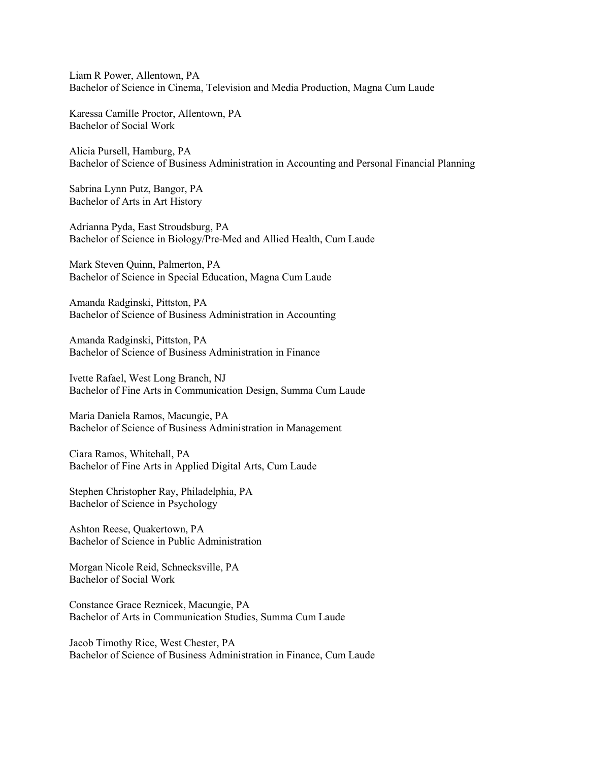Liam R Power, Allentown, PA Bachelor of Science in Cinema, Television and Media Production, Magna Cum Laude

Karessa Camille Proctor, Allentown, PA Bachelor of Social Work

Alicia Pursell, Hamburg, PA Bachelor of Science of Business Administration in Accounting and Personal Financial Planning

Sabrina Lynn Putz, Bangor, PA Bachelor of Arts in Art History

Adrianna Pyda, East Stroudsburg, PA Bachelor of Science in Biology/Pre-Med and Allied Health, Cum Laude

Mark Steven Quinn, Palmerton, PA Bachelor of Science in Special Education, Magna Cum Laude

Amanda Radginski, Pittston, PA Bachelor of Science of Business Administration in Accounting

Amanda Radginski, Pittston, PA Bachelor of Science of Business Administration in Finance

Ivette Rafael, West Long Branch, NJ Bachelor of Fine Arts in Communication Design, Summa Cum Laude

Maria Daniela Ramos, Macungie, PA Bachelor of Science of Business Administration in Management

Ciara Ramos, Whitehall, PA Bachelor of Fine Arts in Applied Digital Arts, Cum Laude

Stephen Christopher Ray, Philadelphia, PA Bachelor of Science in Psychology

Ashton Reese, Quakertown, PA Bachelor of Science in Public Administration

Morgan Nicole Reid, Schnecksville, PA Bachelor of Social Work

Constance Grace Reznicek, Macungie, PA Bachelor of Arts in Communication Studies, Summa Cum Laude

Jacob Timothy Rice, West Chester, PA Bachelor of Science of Business Administration in Finance, Cum Laude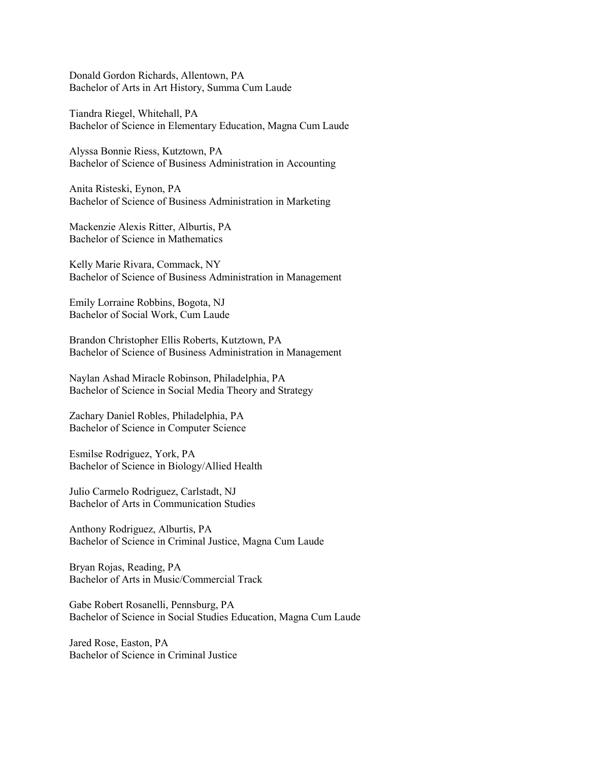Donald Gordon Richards, Allentown, PA Bachelor of Arts in Art History, Summa Cum Laude

Tiandra Riegel, Whitehall, PA Bachelor of Science in Elementary Education, Magna Cum Laude

Alyssa Bonnie Riess, Kutztown, PA Bachelor of Science of Business Administration in Accounting

Anita Risteski, Eynon, PA Bachelor of Science of Business Administration in Marketing

Mackenzie Alexis Ritter, Alburtis, PA Bachelor of Science in Mathematics

Kelly Marie Rivara, Commack, NY Bachelor of Science of Business Administration in Management

Emily Lorraine Robbins, Bogota, NJ Bachelor of Social Work, Cum Laude

Brandon Christopher Ellis Roberts, Kutztown, PA Bachelor of Science of Business Administration in Management

Naylan Ashad Miracle Robinson, Philadelphia, PA Bachelor of Science in Social Media Theory and Strategy

Zachary Daniel Robles, Philadelphia, PA Bachelor of Science in Computer Science

Esmilse Rodriguez, York, PA Bachelor of Science in Biology/Allied Health

Julio Carmelo Rodriguez, Carlstadt, NJ Bachelor of Arts in Communication Studies

Anthony Rodriguez, Alburtis, PA Bachelor of Science in Criminal Justice, Magna Cum Laude

Bryan Rojas, Reading, PA Bachelor of Arts in Music/Commercial Track

Gabe Robert Rosanelli, Pennsburg, PA Bachelor of Science in Social Studies Education, Magna Cum Laude

Jared Rose, Easton, PA Bachelor of Science in Criminal Justice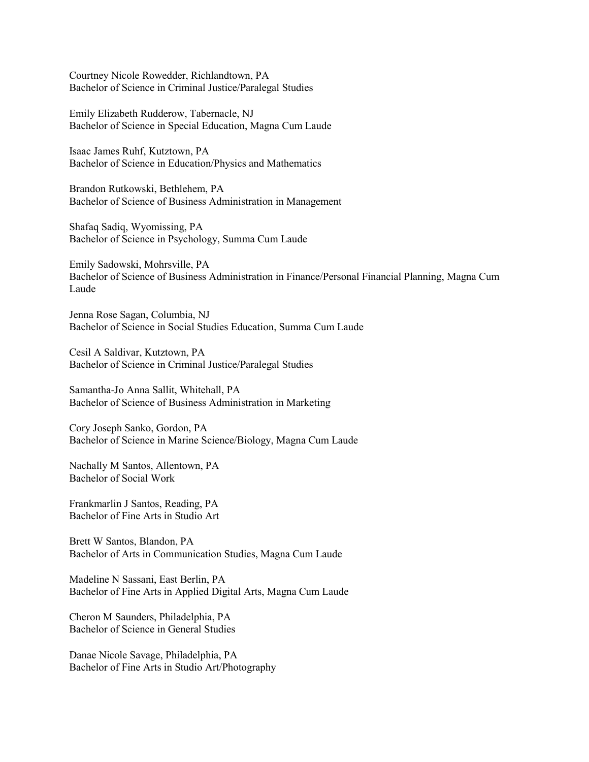Courtney Nicole Rowedder, Richlandtown, PA Bachelor of Science in Criminal Justice/Paralegal Studies

Emily Elizabeth Rudderow, Tabernacle, NJ Bachelor of Science in Special Education, Magna Cum Laude

Isaac James Ruhf, Kutztown, PA Bachelor of Science in Education/Physics and Mathematics

Brandon Rutkowski, Bethlehem, PA Bachelor of Science of Business Administration in Management

Shafaq Sadiq, Wyomissing, PA Bachelor of Science in Psychology, Summa Cum Laude

Emily Sadowski, Mohrsville, PA Bachelor of Science of Business Administration in Finance/Personal Financial Planning, Magna Cum Laude

Jenna Rose Sagan, Columbia, NJ Bachelor of Science in Social Studies Education, Summa Cum Laude

Cesil A Saldivar, Kutztown, PA Bachelor of Science in Criminal Justice/Paralegal Studies

Samantha-Jo Anna Sallit, Whitehall, PA Bachelor of Science of Business Administration in Marketing

Cory Joseph Sanko, Gordon, PA Bachelor of Science in Marine Science/Biology, Magna Cum Laude

Nachally M Santos, Allentown, PA Bachelor of Social Work

Frankmarlin J Santos, Reading, PA Bachelor of Fine Arts in Studio Art

Brett W Santos, Blandon, PA Bachelor of Arts in Communication Studies, Magna Cum Laude

Madeline N Sassani, East Berlin, PA Bachelor of Fine Arts in Applied Digital Arts, Magna Cum Laude

Cheron M Saunders, Philadelphia, PA Bachelor of Science in General Studies

Danae Nicole Savage, Philadelphia, PA Bachelor of Fine Arts in Studio Art/Photography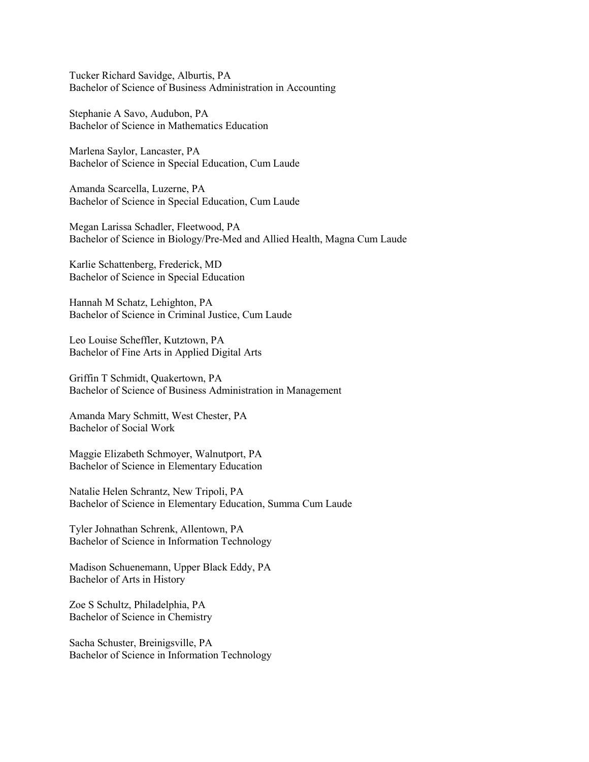Tucker Richard Savidge, Alburtis, PA Bachelor of Science of Business Administration in Accounting

Stephanie A Savo, Audubon, PA Bachelor of Science in Mathematics Education

Marlena Saylor, Lancaster, PA Bachelor of Science in Special Education, Cum Laude

Amanda Scarcella, Luzerne, PA Bachelor of Science in Special Education, Cum Laude

Megan Larissa Schadler, Fleetwood, PA Bachelor of Science in Biology/Pre-Med and Allied Health, Magna Cum Laude

Karlie Schattenberg, Frederick, MD Bachelor of Science in Special Education

Hannah M Schatz, Lehighton, PA Bachelor of Science in Criminal Justice, Cum Laude

Leo Louise Scheffler, Kutztown, PA Bachelor of Fine Arts in Applied Digital Arts

Griffin T Schmidt, Quakertown, PA Bachelor of Science of Business Administration in Management

Amanda Mary Schmitt, West Chester, PA Bachelor of Social Work

Maggie Elizabeth Schmoyer, Walnutport, PA Bachelor of Science in Elementary Education

Natalie Helen Schrantz, New Tripoli, PA Bachelor of Science in Elementary Education, Summa Cum Laude

Tyler Johnathan Schrenk, Allentown, PA Bachelor of Science in Information Technology

Madison Schuenemann, Upper Black Eddy, PA Bachelor of Arts in History

Zoe S Schultz, Philadelphia, PA Bachelor of Science in Chemistry

Sacha Schuster, Breinigsville, PA Bachelor of Science in Information Technology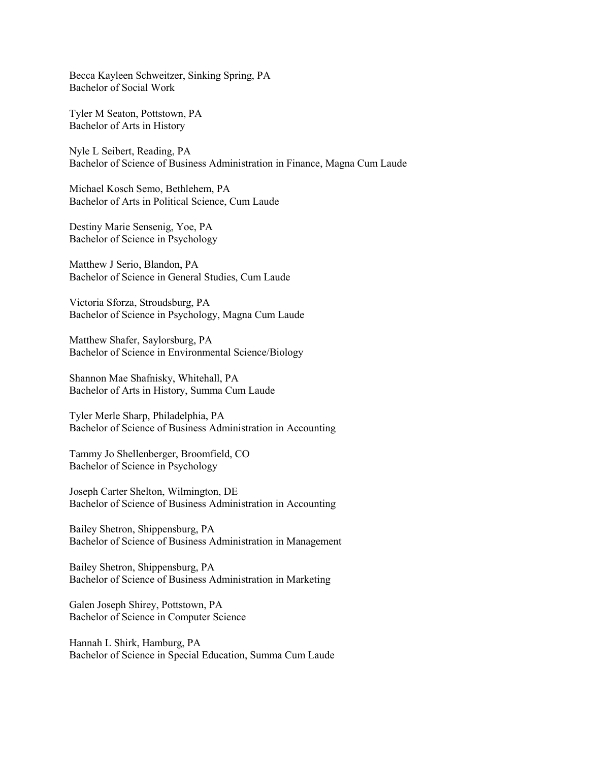Becca Kayleen Schweitzer, Sinking Spring, PA Bachelor of Social Work

Tyler M Seaton, Pottstown, PA Bachelor of Arts in History

Nyle L Seibert, Reading, PA Bachelor of Science of Business Administration in Finance, Magna Cum Laude

Michael Kosch Semo, Bethlehem, PA Bachelor of Arts in Political Science, Cum Laude

Destiny Marie Sensenig, Yoe, PA Bachelor of Science in Psychology

Matthew J Serio, Blandon, PA Bachelor of Science in General Studies, Cum Laude

Victoria Sforza, Stroudsburg, PA Bachelor of Science in Psychology, Magna Cum Laude

Matthew Shafer, Saylorsburg, PA Bachelor of Science in Environmental Science/Biology

Shannon Mae Shafnisky, Whitehall, PA Bachelor of Arts in History, Summa Cum Laude

Tyler Merle Sharp, Philadelphia, PA Bachelor of Science of Business Administration in Accounting

Tammy Jo Shellenberger, Broomfield, CO Bachelor of Science in Psychology

Joseph Carter Shelton, Wilmington, DE Bachelor of Science of Business Administration in Accounting

Bailey Shetron, Shippensburg, PA Bachelor of Science of Business Administration in Management

Bailey Shetron, Shippensburg, PA Bachelor of Science of Business Administration in Marketing

Galen Joseph Shirey, Pottstown, PA Bachelor of Science in Computer Science

Hannah L Shirk, Hamburg, PA Bachelor of Science in Special Education, Summa Cum Laude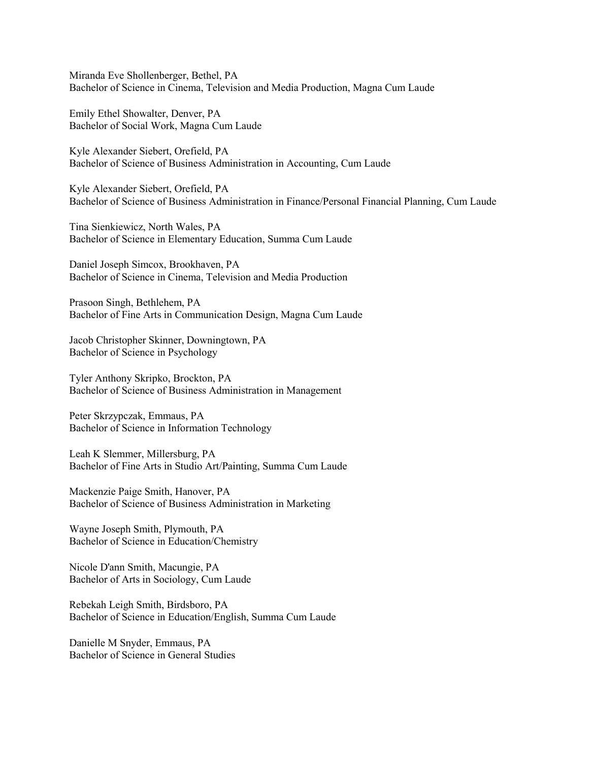Miranda Eve Shollenberger, Bethel, PA Bachelor of Science in Cinema, Television and Media Production, Magna Cum Laude

Emily Ethel Showalter, Denver, PA Bachelor of Social Work, Magna Cum Laude

Kyle Alexander Siebert, Orefield, PA Bachelor of Science of Business Administration in Accounting, Cum Laude

Kyle Alexander Siebert, Orefield, PA Bachelor of Science of Business Administration in Finance/Personal Financial Planning, Cum Laude

Tina Sienkiewicz, North Wales, PA Bachelor of Science in Elementary Education, Summa Cum Laude

Daniel Joseph Simcox, Brookhaven, PA Bachelor of Science in Cinema, Television and Media Production

Prasoon Singh, Bethlehem, PA Bachelor of Fine Arts in Communication Design, Magna Cum Laude

Jacob Christopher Skinner, Downingtown, PA Bachelor of Science in Psychology

Tyler Anthony Skripko, Brockton, PA Bachelor of Science of Business Administration in Management

Peter Skrzypczak, Emmaus, PA Bachelor of Science in Information Technology

Leah K Slemmer, Millersburg, PA Bachelor of Fine Arts in Studio Art/Painting, Summa Cum Laude

Mackenzie Paige Smith, Hanover, PA Bachelor of Science of Business Administration in Marketing

Wayne Joseph Smith, Plymouth, PA Bachelor of Science in Education/Chemistry

Nicole D'ann Smith, Macungie, PA Bachelor of Arts in Sociology, Cum Laude

Rebekah Leigh Smith, Birdsboro, PA Bachelor of Science in Education/English, Summa Cum Laude

Danielle M Snyder, Emmaus, PA Bachelor of Science in General Studies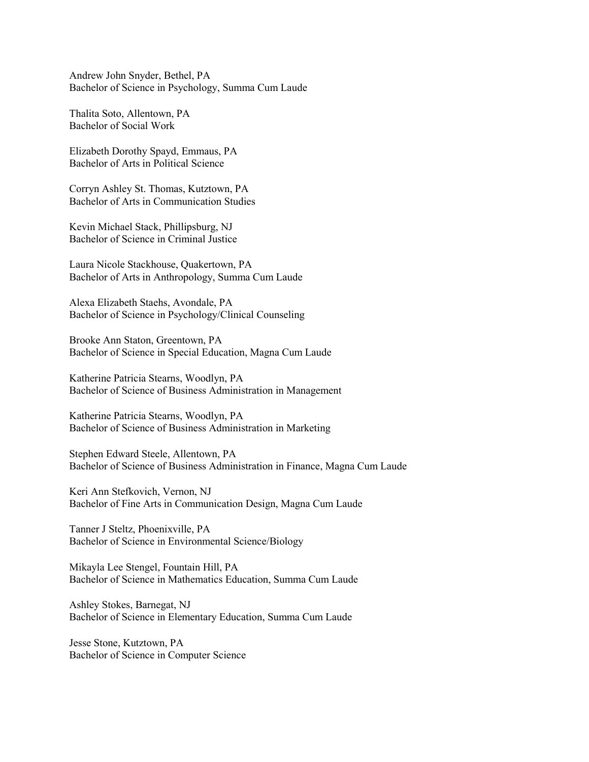Andrew John Snyder, Bethel, PA Bachelor of Science in Psychology, Summa Cum Laude

Thalita Soto, Allentown, PA Bachelor of Social Work

Elizabeth Dorothy Spayd, Emmaus, PA Bachelor of Arts in Political Science

Corryn Ashley St. Thomas, Kutztown, PA Bachelor of Arts in Communication Studies

Kevin Michael Stack, Phillipsburg, NJ Bachelor of Science in Criminal Justice

Laura Nicole Stackhouse, Quakertown, PA Bachelor of Arts in Anthropology, Summa Cum Laude

Alexa Elizabeth Staehs, Avondale, PA Bachelor of Science in Psychology/Clinical Counseling

Brooke Ann Staton, Greentown, PA Bachelor of Science in Special Education, Magna Cum Laude

Katherine Patricia Stearns, Woodlyn, PA Bachelor of Science of Business Administration in Management

Katherine Patricia Stearns, Woodlyn, PA Bachelor of Science of Business Administration in Marketing

Stephen Edward Steele, Allentown, PA Bachelor of Science of Business Administration in Finance, Magna Cum Laude

Keri Ann Stefkovich, Vernon, NJ Bachelor of Fine Arts in Communication Design, Magna Cum Laude

Tanner J Steltz, Phoenixville, PA Bachelor of Science in Environmental Science/Biology

Mikayla Lee Stengel, Fountain Hill, PA Bachelor of Science in Mathematics Education, Summa Cum Laude

Ashley Stokes, Barnegat, NJ Bachelor of Science in Elementary Education, Summa Cum Laude

Jesse Stone, Kutztown, PA Bachelor of Science in Computer Science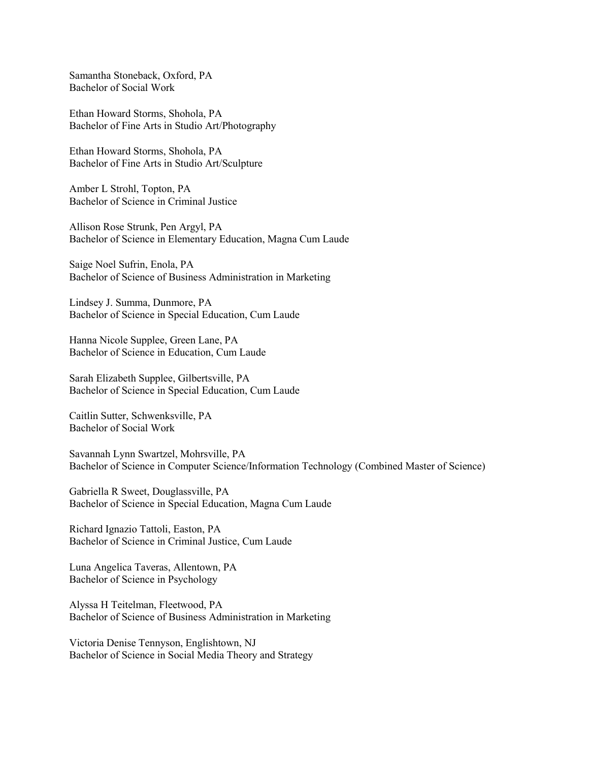Samantha Stoneback, Oxford, PA Bachelor of Social Work

Ethan Howard Storms, Shohola, PA Bachelor of Fine Arts in Studio Art/Photography

Ethan Howard Storms, Shohola, PA Bachelor of Fine Arts in Studio Art/Sculpture

Amber L Strohl, Topton, PA Bachelor of Science in Criminal Justice

Allison Rose Strunk, Pen Argyl, PA Bachelor of Science in Elementary Education, Magna Cum Laude

Saige Noel Sufrin, Enola, PA Bachelor of Science of Business Administration in Marketing

Lindsey J. Summa, Dunmore, PA Bachelor of Science in Special Education, Cum Laude

Hanna Nicole Supplee, Green Lane, PA Bachelor of Science in Education, Cum Laude

Sarah Elizabeth Supplee, Gilbertsville, PA Bachelor of Science in Special Education, Cum Laude

Caitlin Sutter, Schwenksville, PA Bachelor of Social Work

Savannah Lynn Swartzel, Mohrsville, PA Bachelor of Science in Computer Science/Information Technology (Combined Master of Science)

Gabriella R Sweet, Douglassville, PA Bachelor of Science in Special Education, Magna Cum Laude

Richard Ignazio Tattoli, Easton, PA Bachelor of Science in Criminal Justice, Cum Laude

Luna Angelica Taveras, Allentown, PA Bachelor of Science in Psychology

Alyssa H Teitelman, Fleetwood, PA Bachelor of Science of Business Administration in Marketing

Victoria Denise Tennyson, Englishtown, NJ Bachelor of Science in Social Media Theory and Strategy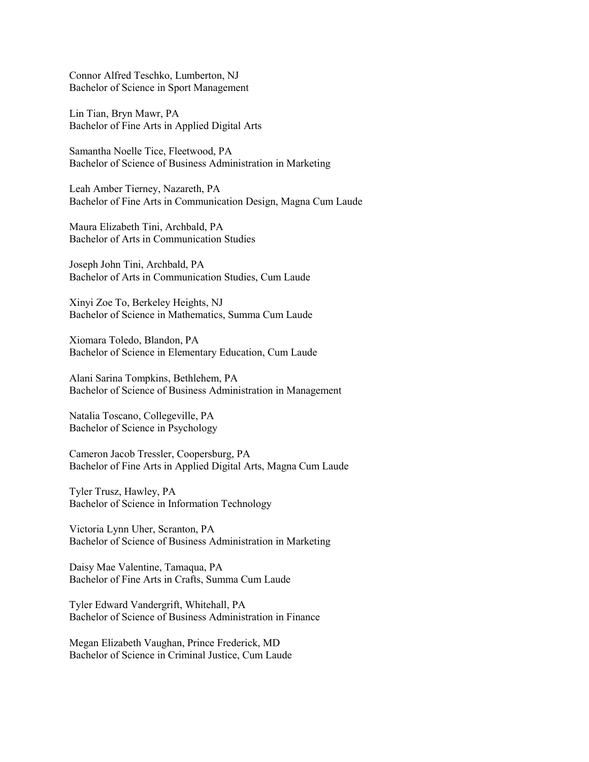Connor Alfred Teschko, Lumberton, NJ Bachelor of Science in Sport Management

Lin Tian, Bryn Mawr, PA Bachelor of Fine Arts in Applied Digital Arts

Samantha Noelle Tice, Fleetwood, PA Bachelor of Science of Business Administration in Marketing

Leah Amber Tierney, Nazareth, PA Bachelor of Fine Arts in Communication Design, Magna Cum Laude

Maura Elizabeth Tini, Archbald, PA Bachelor of Arts in Communication Studies

Joseph John Tini, Archbald, PA Bachelor of Arts in Communication Studies, Cum Laude

Xinyi Zoe To, Berkeley Heights, NJ Bachelor of Science in Mathematics, Summa Cum Laude

Xiomara Toledo, Blandon, PA Bachelor of Science in Elementary Education, Cum Laude

Alani Sarina Tompkins, Bethlehem, PA Bachelor of Science of Business Administration in Management

Natalia Toscano, Collegeville, PA Bachelor of Science in Psychology

Cameron Jacob Tressler, Coopersburg, PA Bachelor of Fine Arts in Applied Digital Arts, Magna Cum Laude

Tyler Trusz, Hawley, PA Bachelor of Science in Information Technology

Victoria Lynn Uher, Scranton, PA Bachelor of Science of Business Administration in Marketing

Daisy Mae Valentine, Tamaqua, PA Bachelor of Fine Arts in Crafts, Summa Cum Laude

Tyler Edward Vandergrift, Whitehall, PA Bachelor of Science of Business Administration in Finance

Megan Elizabeth Vaughan, Prince Frederick, MD Bachelor of Science in Criminal Justice, Cum Laude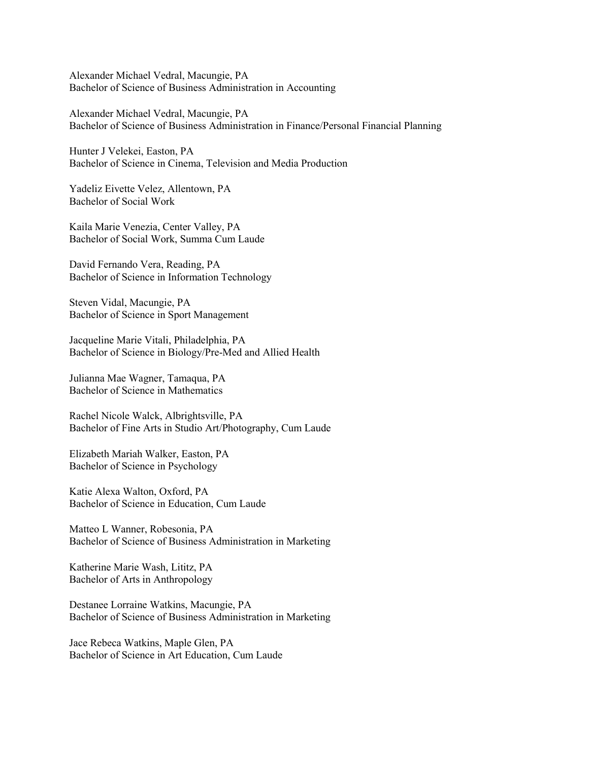Alexander Michael Vedral, Macungie, PA Bachelor of Science of Business Administration in Accounting

Alexander Michael Vedral, Macungie, PA Bachelor of Science of Business Administration in Finance/Personal Financial Planning

Hunter J Velekei, Easton, PA Bachelor of Science in Cinema, Television and Media Production

Yadeliz Eivette Velez, Allentown, PA Bachelor of Social Work

Kaila Marie Venezia, Center Valley, PA Bachelor of Social Work, Summa Cum Laude

David Fernando Vera, Reading, PA Bachelor of Science in Information Technology

Steven Vidal, Macungie, PA Bachelor of Science in Sport Management

Jacqueline Marie Vitali, Philadelphia, PA Bachelor of Science in Biology/Pre-Med and Allied Health

Julianna Mae Wagner, Tamaqua, PA Bachelor of Science in Mathematics

Rachel Nicole Walck, Albrightsville, PA Bachelor of Fine Arts in Studio Art/Photography, Cum Laude

Elizabeth Mariah Walker, Easton, PA Bachelor of Science in Psychology

Katie Alexa Walton, Oxford, PA Bachelor of Science in Education, Cum Laude

Matteo L Wanner, Robesonia, PA Bachelor of Science of Business Administration in Marketing

Katherine Marie Wash, Lititz, PA Bachelor of Arts in Anthropology

Destanee Lorraine Watkins, Macungie, PA Bachelor of Science of Business Administration in Marketing

Jace Rebeca Watkins, Maple Glen, PA Bachelor of Science in Art Education, Cum Laude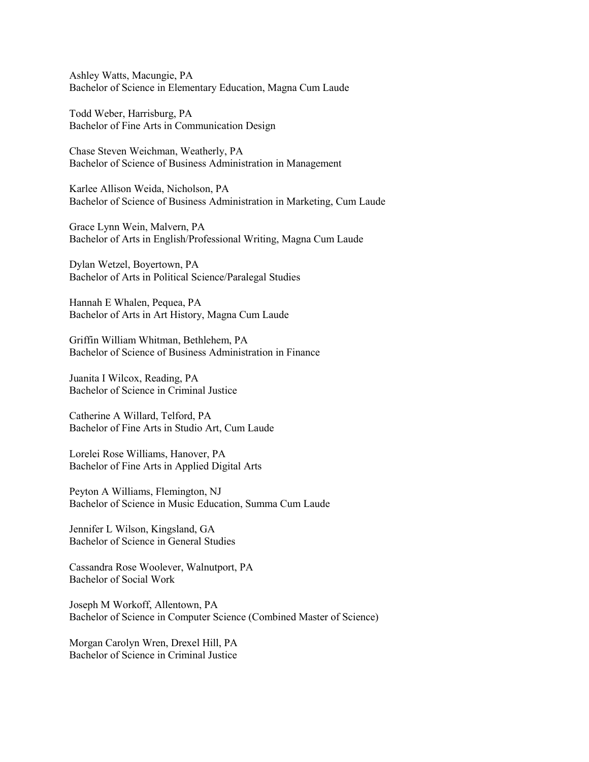Ashley Watts, Macungie, PA Bachelor of Science in Elementary Education, Magna Cum Laude

Todd Weber, Harrisburg, PA Bachelor of Fine Arts in Communication Design

Chase Steven Weichman, Weatherly, PA Bachelor of Science of Business Administration in Management

Karlee Allison Weida, Nicholson, PA Bachelor of Science of Business Administration in Marketing, Cum Laude

Grace Lynn Wein, Malvern, PA Bachelor of Arts in English/Professional Writing, Magna Cum Laude

Dylan Wetzel, Boyertown, PA Bachelor of Arts in Political Science/Paralegal Studies

Hannah E Whalen, Pequea, PA Bachelor of Arts in Art History, Magna Cum Laude

Griffin William Whitman, Bethlehem, PA Bachelor of Science of Business Administration in Finance

Juanita I Wilcox, Reading, PA Bachelor of Science in Criminal Justice

Catherine A Willard, Telford, PA Bachelor of Fine Arts in Studio Art, Cum Laude

Lorelei Rose Williams, Hanover, PA Bachelor of Fine Arts in Applied Digital Arts

Peyton A Williams, Flemington, NJ Bachelor of Science in Music Education, Summa Cum Laude

Jennifer L Wilson, Kingsland, GA Bachelor of Science in General Studies

Cassandra Rose Woolever, Walnutport, PA Bachelor of Social Work

Joseph M Workoff, Allentown, PA Bachelor of Science in Computer Science (Combined Master of Science)

Morgan Carolyn Wren, Drexel Hill, PA Bachelor of Science in Criminal Justice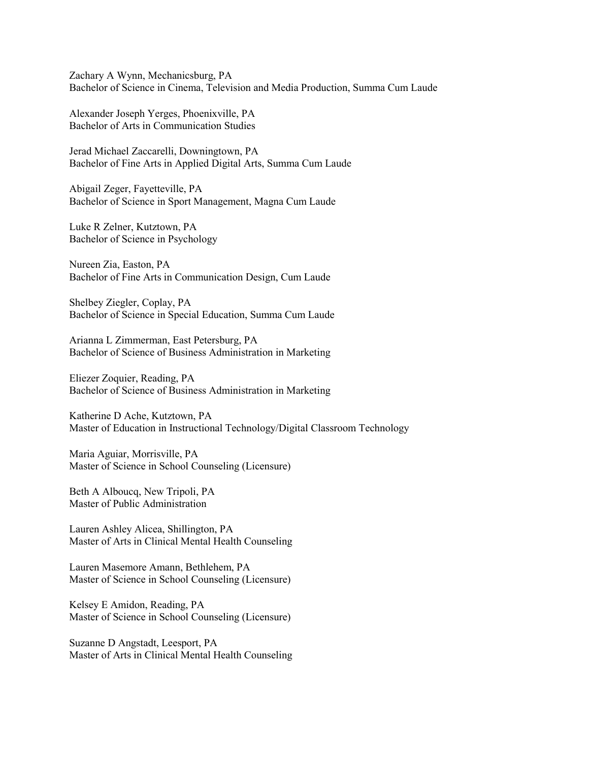Zachary A Wynn, Mechanicsburg, PA Bachelor of Science in Cinema, Television and Media Production, Summa Cum Laude

Alexander Joseph Yerges, Phoenixville, PA Bachelor of Arts in Communication Studies

Jerad Michael Zaccarelli, Downingtown, PA Bachelor of Fine Arts in Applied Digital Arts, Summa Cum Laude

Abigail Zeger, Fayetteville, PA Bachelor of Science in Sport Management, Magna Cum Laude

Luke R Zelner, Kutztown, PA Bachelor of Science in Psychology

Nureen Zia, Easton, PA Bachelor of Fine Arts in Communication Design, Cum Laude

Shelbey Ziegler, Coplay, PA Bachelor of Science in Special Education, Summa Cum Laude

Arianna L Zimmerman, East Petersburg, PA Bachelor of Science of Business Administration in Marketing

Eliezer Zoquier, Reading, PA Bachelor of Science of Business Administration in Marketing

Katherine D Ache, Kutztown, PA Master of Education in Instructional Technology/Digital Classroom Technology

Maria Aguiar, Morrisville, PA Master of Science in School Counseling (Licensure)

Beth A Alboucq, New Tripoli, PA Master of Public Administration

Lauren Ashley Alicea, Shillington, PA Master of Arts in Clinical Mental Health Counseling

Lauren Masemore Amann, Bethlehem, PA Master of Science in School Counseling (Licensure)

Kelsey E Amidon, Reading, PA Master of Science in School Counseling (Licensure)

Suzanne D Angstadt, Leesport, PA Master of Arts in Clinical Mental Health Counseling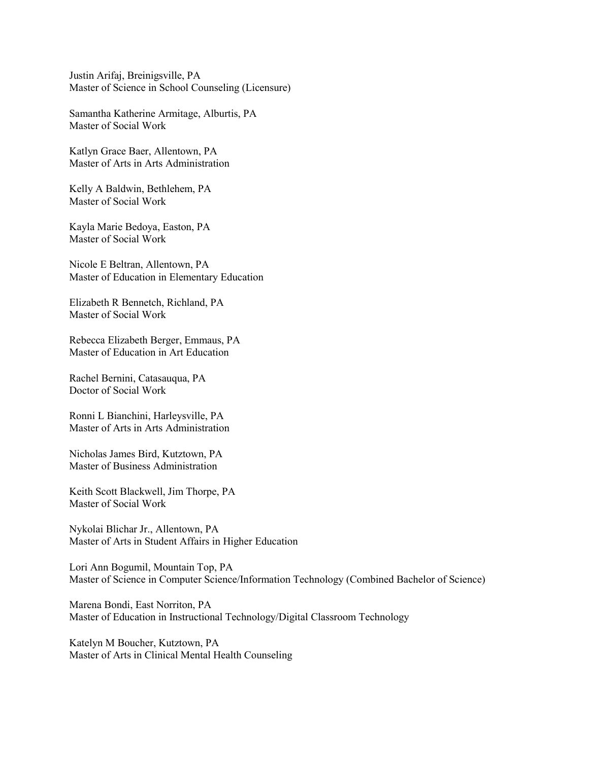Justin Arifaj, Breinigsville, PA Master of Science in School Counseling (Licensure)

Samantha Katherine Armitage, Alburtis, PA Master of Social Work

Katlyn Grace Baer, Allentown, PA Master of Arts in Arts Administration

Kelly A Baldwin, Bethlehem, PA Master of Social Work

Kayla Marie Bedoya, Easton, PA Master of Social Work

Nicole E Beltran, Allentown, PA Master of Education in Elementary Education

Elizabeth R Bennetch, Richland, PA Master of Social Work

Rebecca Elizabeth Berger, Emmaus, PA Master of Education in Art Education

Rachel Bernini, Catasauqua, PA Doctor of Social Work

Ronni L Bianchini, Harleysville, PA Master of Arts in Arts Administration

Nicholas James Bird, Kutztown, PA Master of Business Administration

Keith Scott Blackwell, Jim Thorpe, PA Master of Social Work

Nykolai Blichar Jr., Allentown, PA Master of Arts in Student Affairs in Higher Education

Lori Ann Bogumil, Mountain Top, PA Master of Science in Computer Science/Information Technology (Combined Bachelor of Science)

Marena Bondi, East Norriton, PA Master of Education in Instructional Technology/Digital Classroom Technology

Katelyn M Boucher, Kutztown, PA Master of Arts in Clinical Mental Health Counseling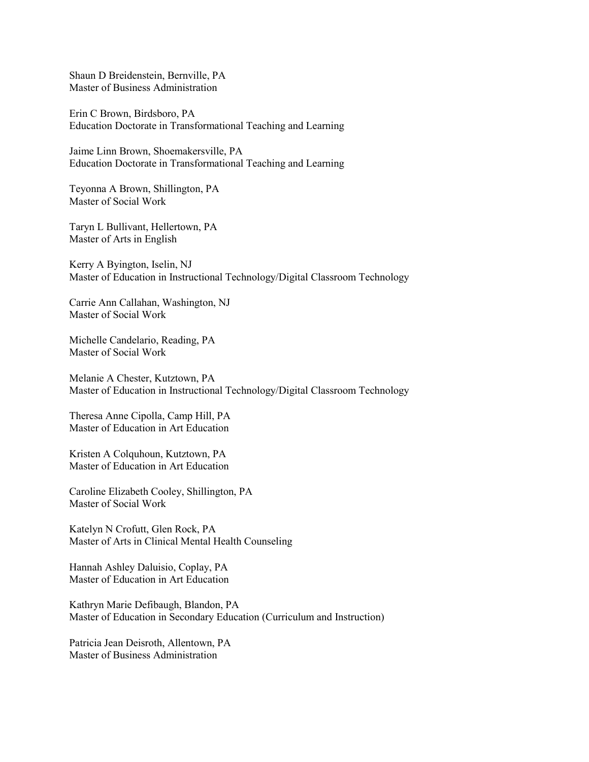Shaun D Breidenstein, Bernville, PA Master of Business Administration

Erin C Brown, Birdsboro, PA Education Doctorate in Transformational Teaching and Learning

Jaime Linn Brown, Shoemakersville, PA Education Doctorate in Transformational Teaching and Learning

Teyonna A Brown, Shillington, PA Master of Social Work

Taryn L Bullivant, Hellertown, PA Master of Arts in English

Kerry A Byington, Iselin, NJ Master of Education in Instructional Technology/Digital Classroom Technology

Carrie Ann Callahan, Washington, NJ Master of Social Work

Michelle Candelario, Reading, PA Master of Social Work

Melanie A Chester, Kutztown, PA Master of Education in Instructional Technology/Digital Classroom Technology

Theresa Anne Cipolla, Camp Hill, PA Master of Education in Art Education

Kristen A Colquhoun, Kutztown, PA Master of Education in Art Education

Caroline Elizabeth Cooley, Shillington, PA Master of Social Work

Katelyn N Crofutt, Glen Rock, PA Master of Arts in Clinical Mental Health Counseling

Hannah Ashley Daluisio, Coplay, PA Master of Education in Art Education

Kathryn Marie Defibaugh, Blandon, PA Master of Education in Secondary Education (Curriculum and Instruction)

Patricia Jean Deisroth, Allentown, PA Master of Business Administration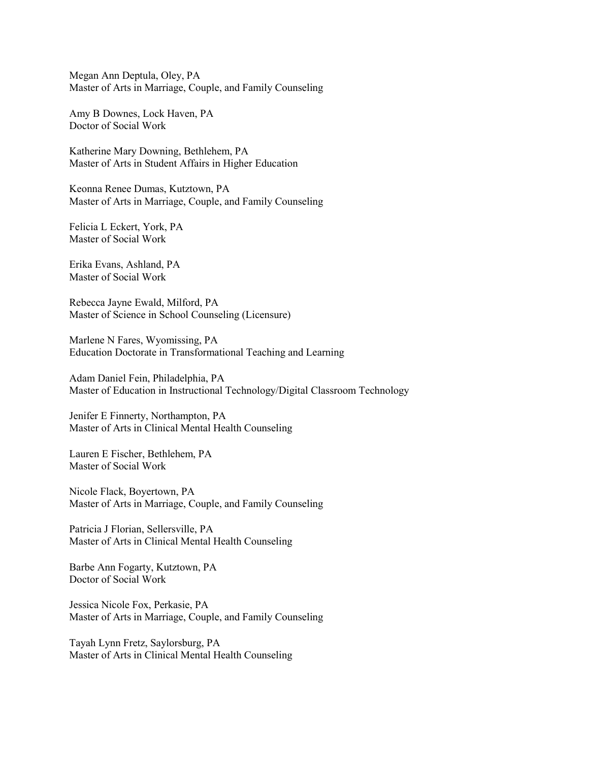Megan Ann Deptula, Oley, PA Master of Arts in Marriage, Couple, and Family Counseling

Amy B Downes, Lock Haven, PA Doctor of Social Work

Katherine Mary Downing, Bethlehem, PA Master of Arts in Student Affairs in Higher Education

Keonna Renee Dumas, Kutztown, PA Master of Arts in Marriage, Couple, and Family Counseling

Felicia L Eckert, York, PA Master of Social Work

Erika Evans, Ashland, PA Master of Social Work

Rebecca Jayne Ewald, Milford, PA Master of Science in School Counseling (Licensure)

Marlene N Fares, Wyomissing, PA Education Doctorate in Transformational Teaching and Learning

Adam Daniel Fein, Philadelphia, PA Master of Education in Instructional Technology/Digital Classroom Technology

Jenifer E Finnerty, Northampton, PA Master of Arts in Clinical Mental Health Counseling

Lauren E Fischer, Bethlehem, PA Master of Social Work

Nicole Flack, Boyertown, PA Master of Arts in Marriage, Couple, and Family Counseling

Patricia J Florian, Sellersville, PA Master of Arts in Clinical Mental Health Counseling

Barbe Ann Fogarty, Kutztown, PA Doctor of Social Work

Jessica Nicole Fox, Perkasie, PA Master of Arts in Marriage, Couple, and Family Counseling

Tayah Lynn Fretz, Saylorsburg, PA Master of Arts in Clinical Mental Health Counseling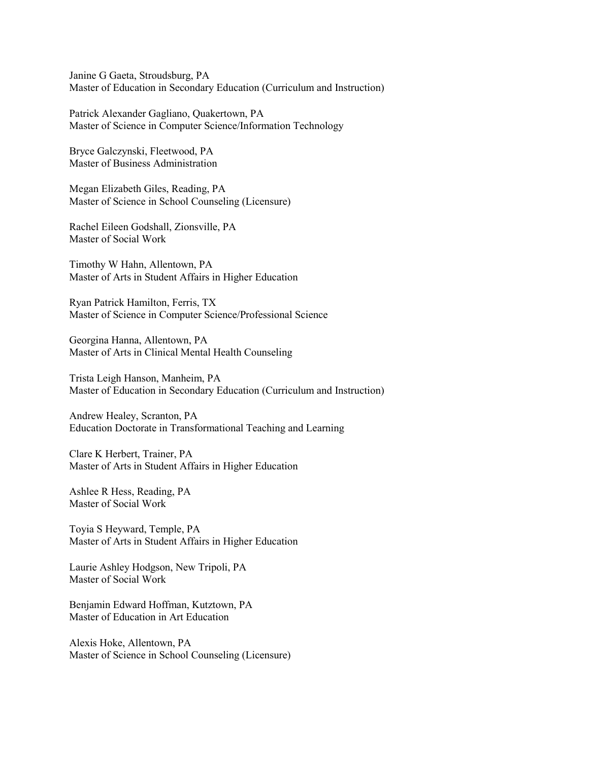Janine G Gaeta, Stroudsburg, PA Master of Education in Secondary Education (Curriculum and Instruction)

Patrick Alexander Gagliano, Quakertown, PA Master of Science in Computer Science/Information Technology

Bryce Galczynski, Fleetwood, PA Master of Business Administration

Megan Elizabeth Giles, Reading, PA Master of Science in School Counseling (Licensure)

Rachel Eileen Godshall, Zionsville, PA Master of Social Work

Timothy W Hahn, Allentown, PA Master of Arts in Student Affairs in Higher Education

Ryan Patrick Hamilton, Ferris, TX Master of Science in Computer Science/Professional Science

Georgina Hanna, Allentown, PA Master of Arts in Clinical Mental Health Counseling

Trista Leigh Hanson, Manheim, PA Master of Education in Secondary Education (Curriculum and Instruction)

Andrew Healey, Scranton, PA Education Doctorate in Transformational Teaching and Learning

Clare K Herbert, Trainer, PA Master of Arts in Student Affairs in Higher Education

Ashlee R Hess, Reading, PA Master of Social Work

Toyia S Heyward, Temple, PA Master of Arts in Student Affairs in Higher Education

Laurie Ashley Hodgson, New Tripoli, PA Master of Social Work

Benjamin Edward Hoffman, Kutztown, PA Master of Education in Art Education

Alexis Hoke, Allentown, PA Master of Science in School Counseling (Licensure)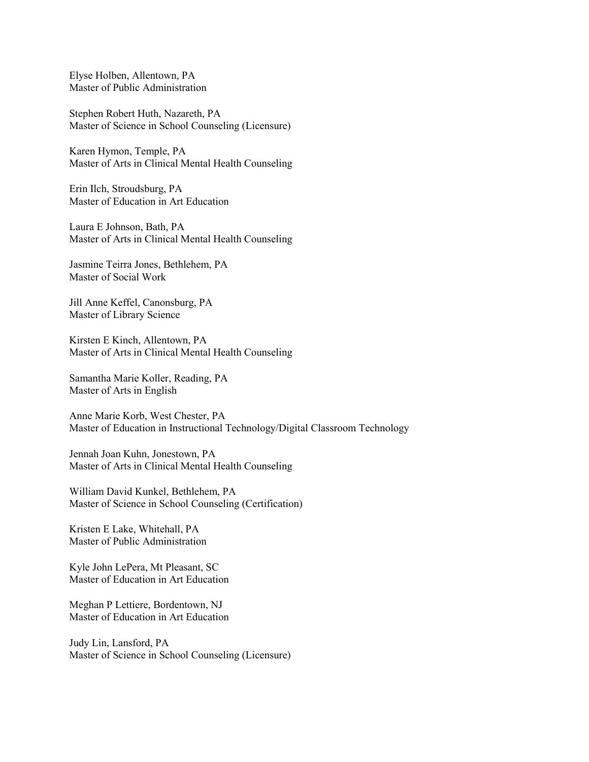Elyse Holben, Allentown, PA Master of Public Administration

Stephen Robert Huth, Nazareth, PA Master of Science in School Counseling (Licensure)

Karen Hymon, Temple, PA Master of Arts in Clinical Mental Health Counseling

Erin Ilch, Stroudsburg, PA Master of Education in Art Education

Laura E Johnson, Bath, PA Master of Arts in Clinical Mental Health Counseling

Jasmine Teirra Jones, Bethlehem, PA Master of Social Work

Jill Anne Keffel, Canonsburg, PA Master of Library Science

Kirsten E Kinch, Allentown, PA Master of Arts in Clinical Mental Health Counseling

Samantha Marie Koller, Reading, PA Master of Arts in English

Anne Marie Korb, West Chester, PA Master of Education in Instructional Technology/Digital Classroom Technology

Jennah Joan Kuhn, Jonestown, PA Master of Arts in Clinical Mental Health Counseling

William David Kunkel, Bethlehem, PA Master of Science in School Counseling (Certification)

Kristen E Lake, Whitehall, PA Master of Public Administration

Kyle John LePera, Mt Pleasant, SC Master of Education in Art Education

Meghan P Lettiere, Bordentown, NJ Master of Education in Art Education

Judy Lin, Lansford, PA Master of Science in School Counseling (Licensure)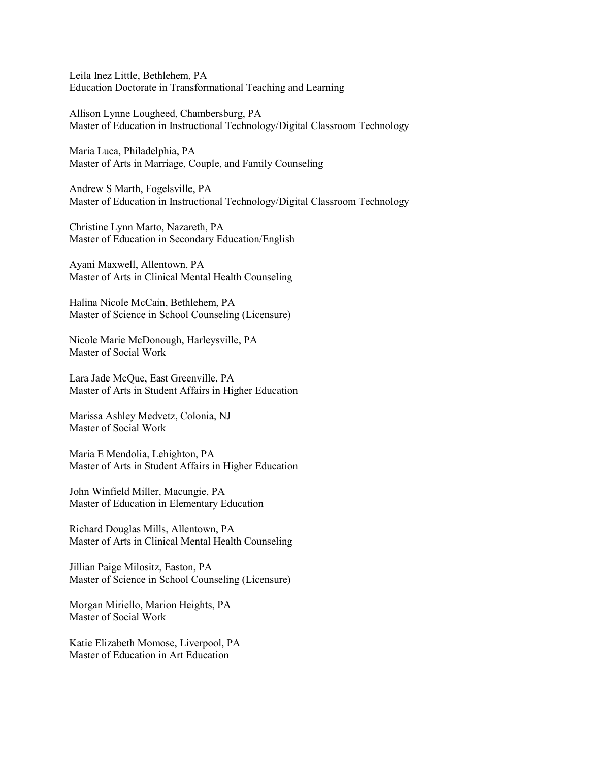Leila Inez Little, Bethlehem, PA Education Doctorate in Transformational Teaching and Learning

Allison Lynne Lougheed, Chambersburg, PA Master of Education in Instructional Technology/Digital Classroom Technology

Maria Luca, Philadelphia, PA Master of Arts in Marriage, Couple, and Family Counseling

Andrew S Marth, Fogelsville, PA Master of Education in Instructional Technology/Digital Classroom Technology

Christine Lynn Marto, Nazareth, PA Master of Education in Secondary Education/English

Ayani Maxwell, Allentown, PA Master of Arts in Clinical Mental Health Counseling

Halina Nicole McCain, Bethlehem, PA Master of Science in School Counseling (Licensure)

Nicole Marie McDonough, Harleysville, PA Master of Social Work

Lara Jade McQue, East Greenville, PA Master of Arts in Student Affairs in Higher Education

Marissa Ashley Medvetz, Colonia, NJ Master of Social Work

Maria E Mendolia, Lehighton, PA Master of Arts in Student Affairs in Higher Education

John Winfield Miller, Macungie, PA Master of Education in Elementary Education

Richard Douglas Mills, Allentown, PA Master of Arts in Clinical Mental Health Counseling

Jillian Paige Milositz, Easton, PA Master of Science in School Counseling (Licensure)

Morgan Miriello, Marion Heights, PA Master of Social Work

Katie Elizabeth Momose, Liverpool, PA Master of Education in Art Education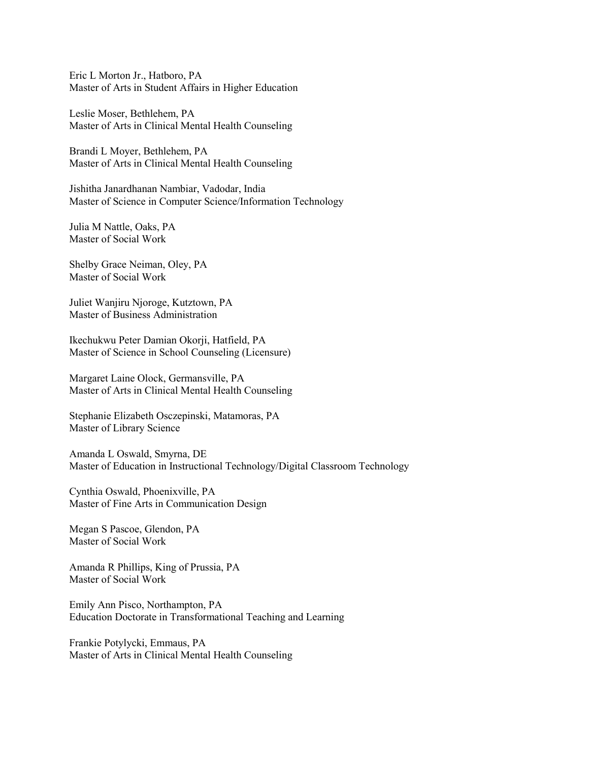Eric L Morton Jr., Hatboro, PA Master of Arts in Student Affairs in Higher Education

Leslie Moser, Bethlehem, PA Master of Arts in Clinical Mental Health Counseling

Brandi L Moyer, Bethlehem, PA Master of Arts in Clinical Mental Health Counseling

Jishitha Janardhanan Nambiar, Vadodar, India Master of Science in Computer Science/Information Technology

Julia M Nattle, Oaks, PA Master of Social Work

Shelby Grace Neiman, Oley, PA Master of Social Work

Juliet Wanjiru Njoroge, Kutztown, PA Master of Business Administration

Ikechukwu Peter Damian Okorji, Hatfield, PA Master of Science in School Counseling (Licensure)

Margaret Laine Olock, Germansville, PA Master of Arts in Clinical Mental Health Counseling

Stephanie Elizabeth Osczepinski, Matamoras, PA Master of Library Science

Amanda L Oswald, Smyrna, DE Master of Education in Instructional Technology/Digital Classroom Technology

Cynthia Oswald, Phoenixville, PA Master of Fine Arts in Communication Design

Megan S Pascoe, Glendon, PA Master of Social Work

Amanda R Phillips, King of Prussia, PA Master of Social Work

Emily Ann Pisco, Northampton, PA Education Doctorate in Transformational Teaching and Learning

Frankie Potylycki, Emmaus, PA Master of Arts in Clinical Mental Health Counseling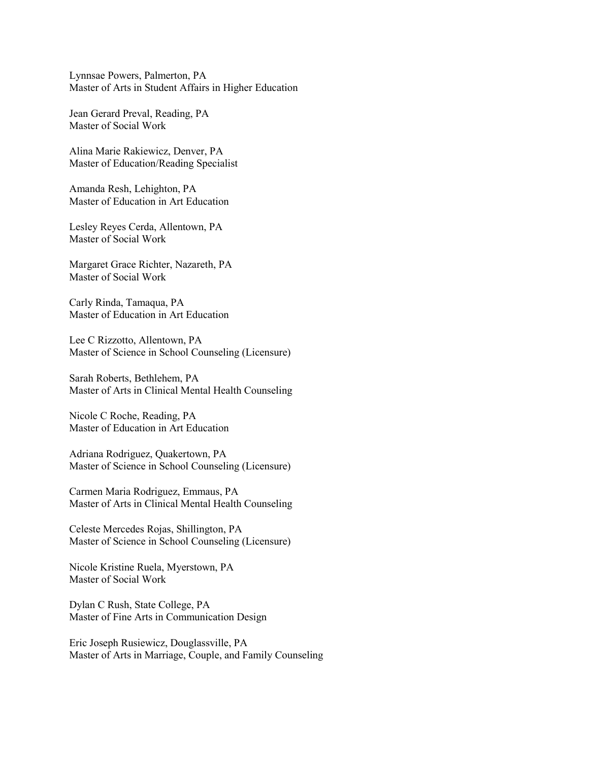Lynnsae Powers, Palmerton, PA Master of Arts in Student Affairs in Higher Education

Jean Gerard Preval, Reading, PA Master of Social Work

Alina Marie Rakiewicz, Denver, PA Master of Education/Reading Specialist

Amanda Resh, Lehighton, PA Master of Education in Art Education

Lesley Reyes Cerda, Allentown, PA Master of Social Work

Margaret Grace Richter, Nazareth, PA Master of Social Work

Carly Rinda, Tamaqua, PA Master of Education in Art Education

Lee C Rizzotto, Allentown, PA Master of Science in School Counseling (Licensure)

Sarah Roberts, Bethlehem, PA Master of Arts in Clinical Mental Health Counseling

Nicole C Roche, Reading, PA Master of Education in Art Education

Adriana Rodriguez, Quakertown, PA Master of Science in School Counseling (Licensure)

Carmen Maria Rodriguez, Emmaus, PA Master of Arts in Clinical Mental Health Counseling

Celeste Mercedes Rojas, Shillington, PA Master of Science in School Counseling (Licensure)

Nicole Kristine Ruela, Myerstown, PA Master of Social Work

Dylan C Rush, State College, PA Master of Fine Arts in Communication Design

Eric Joseph Rusiewicz, Douglassville, PA Master of Arts in Marriage, Couple, and Family Counseling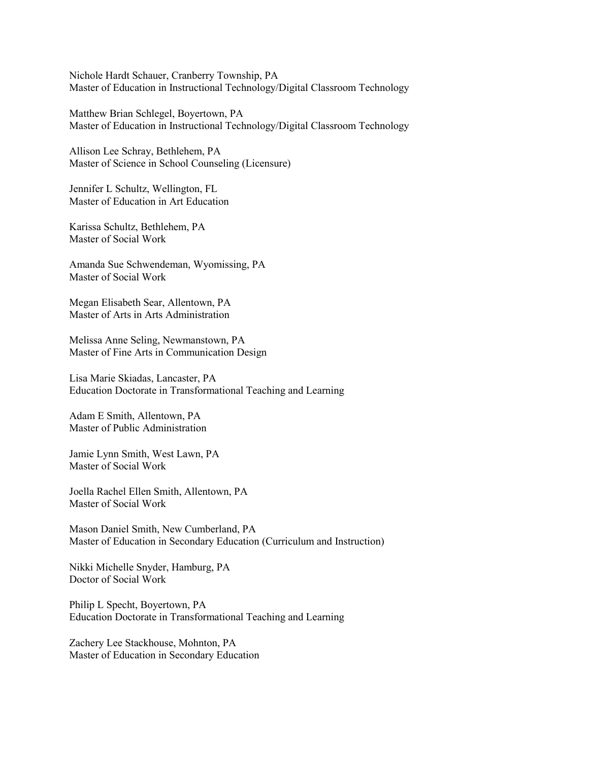Nichole Hardt Schauer, Cranberry Township, PA Master of Education in Instructional Technology/Digital Classroom Technology

Matthew Brian Schlegel, Boyertown, PA Master of Education in Instructional Technology/Digital Classroom Technology

Allison Lee Schray, Bethlehem, PA Master of Science in School Counseling (Licensure)

Jennifer L Schultz, Wellington, FL Master of Education in Art Education

Karissa Schultz, Bethlehem, PA Master of Social Work

Amanda Sue Schwendeman, Wyomissing, PA Master of Social Work

Megan Elisabeth Sear, Allentown, PA Master of Arts in Arts Administration

Melissa Anne Seling, Newmanstown, PA Master of Fine Arts in Communication Design

Lisa Marie Skiadas, Lancaster, PA Education Doctorate in Transformational Teaching and Learning

Adam E Smith, Allentown, PA Master of Public Administration

Jamie Lynn Smith, West Lawn, PA Master of Social Work

Joella Rachel Ellen Smith, Allentown, PA Master of Social Work

Mason Daniel Smith, New Cumberland, PA Master of Education in Secondary Education (Curriculum and Instruction)

Nikki Michelle Snyder, Hamburg, PA Doctor of Social Work

Philip L Specht, Boyertown, PA Education Doctorate in Transformational Teaching and Learning

Zachery Lee Stackhouse, Mohnton, PA Master of Education in Secondary Education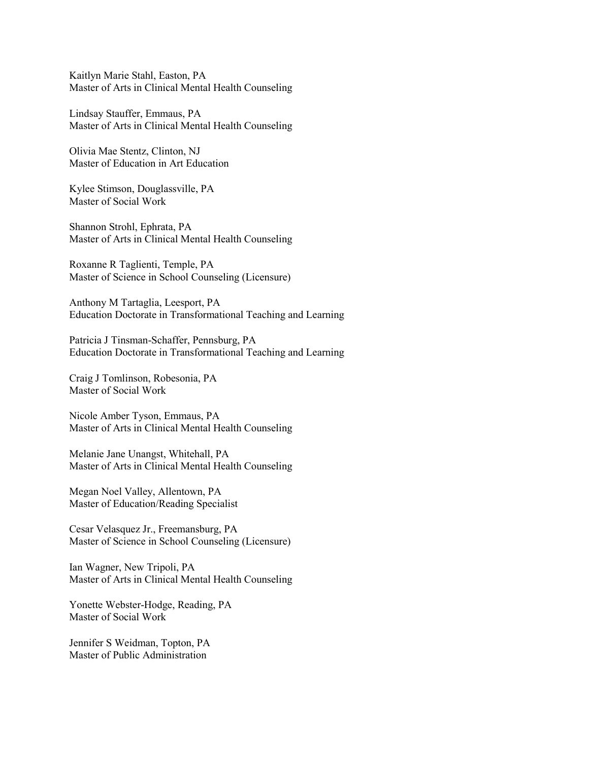Kaitlyn Marie Stahl, Easton, PA Master of Arts in Clinical Mental Health Counseling

Lindsay Stauffer, Emmaus, PA Master of Arts in Clinical Mental Health Counseling

Olivia Mae Stentz, Clinton, NJ Master of Education in Art Education

Kylee Stimson, Douglassville, PA Master of Social Work

Shannon Strohl, Ephrata, PA Master of Arts in Clinical Mental Health Counseling

Roxanne R Taglienti, Temple, PA Master of Science in School Counseling (Licensure)

Anthony M Tartaglia, Leesport, PA Education Doctorate in Transformational Teaching and Learning

Patricia J Tinsman-Schaffer, Pennsburg, PA Education Doctorate in Transformational Teaching and Learning

Craig J Tomlinson, Robesonia, PA Master of Social Work

Nicole Amber Tyson, Emmaus, PA Master of Arts in Clinical Mental Health Counseling

Melanie Jane Unangst, Whitehall, PA Master of Arts in Clinical Mental Health Counseling

Megan Noel Valley, Allentown, PA Master of Education/Reading Specialist

Cesar Velasquez Jr., Freemansburg, PA Master of Science in School Counseling (Licensure)

Ian Wagner, New Tripoli, PA Master of Arts in Clinical Mental Health Counseling

Yonette Webster-Hodge, Reading, PA Master of Social Work

Jennifer S Weidman, Topton, PA Master of Public Administration